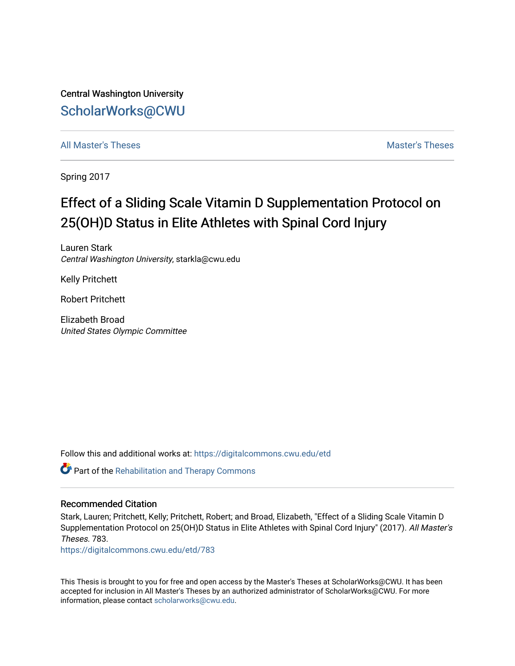Central Washington University [ScholarWorks@CWU](https://digitalcommons.cwu.edu/) 

[All Master's Theses](https://digitalcommons.cwu.edu/etd) and the set of the set of the set of the set of the set of the set of the set of the set of the set of the set of the set of the set of the set of the set of the set of the set of the set of the set of

Spring 2017

# Effect of a Sliding Scale Vitamin D Supplementation Protocol on 25(OH)D Status in Elite Athletes with Spinal Cord Injury

Lauren Stark Central Washington University, starkla@cwu.edu

Kelly Pritchett

Robert Pritchett

Elizabeth Broad United States Olympic Committee

Follow this and additional works at: [https://digitalcommons.cwu.edu/etd](https://digitalcommons.cwu.edu/etd?utm_source=digitalcommons.cwu.edu%2Fetd%2F783&utm_medium=PDF&utm_campaign=PDFCoverPages) 

Part of the [Rehabilitation and Therapy Commons](http://network.bepress.com/hgg/discipline/749?utm_source=digitalcommons.cwu.edu%2Fetd%2F783&utm_medium=PDF&utm_campaign=PDFCoverPages) 

#### Recommended Citation

Stark, Lauren; Pritchett, Kelly; Pritchett, Robert; and Broad, Elizabeth, "Effect of a Sliding Scale Vitamin D Supplementation Protocol on 25(OH)D Status in Elite Athletes with Spinal Cord Injury" (2017). All Master's Theses. 783.

[https://digitalcommons.cwu.edu/etd/783](https://digitalcommons.cwu.edu/etd/783?utm_source=digitalcommons.cwu.edu%2Fetd%2F783&utm_medium=PDF&utm_campaign=PDFCoverPages) 

This Thesis is brought to you for free and open access by the Master's Theses at ScholarWorks@CWU. It has been accepted for inclusion in All Master's Theses by an authorized administrator of ScholarWorks@CWU. For more information, please contact [scholarworks@cwu.edu.](mailto:scholarworks@cwu.edu)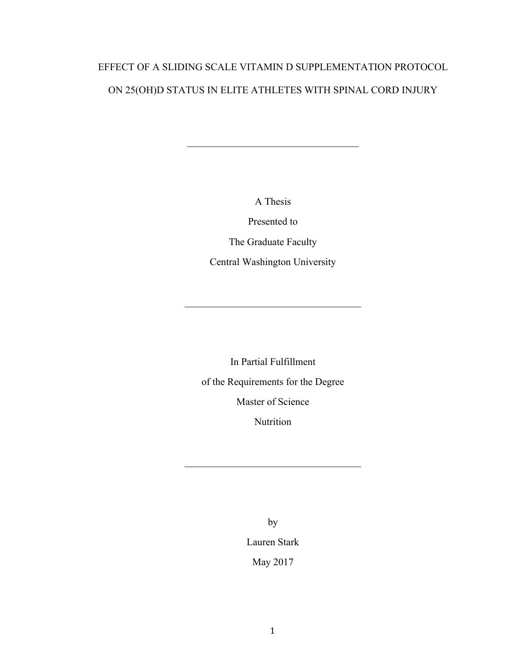# EFFECT OF A SLIDING SCALE VITAMIN D SUPPLEMENTATION PROTOCOL ON 25(OH)D STATUS IN ELITE ATHLETES WITH SPINAL CORD INJURY

A Thesis

 $\mathcal{L}_\text{max}$  , and the set of the set of the set of the set of the set of the set of the set of the set of the set of the set of the set of the set of the set of the set of the set of the set of the set of the set of the

Presented to

The Graduate Faculty

Central Washington University

 $\mathcal{L}_\text{max}$  , and the set of the set of the set of the set of the set of the set of the set of the set of the set of the set of the set of the set of the set of the set of the set of the set of the set of the set of the

In Partial Fulfillment of the Requirements for the Degree Master of Science Nutrition

 $\mathcal{L}_\text{max}$  , and the set of the set of the set of the set of the set of the set of the set of the set of the set of the set of the set of the set of the set of the set of the set of the set of the set of the set of the

by

Lauren Stark May 2017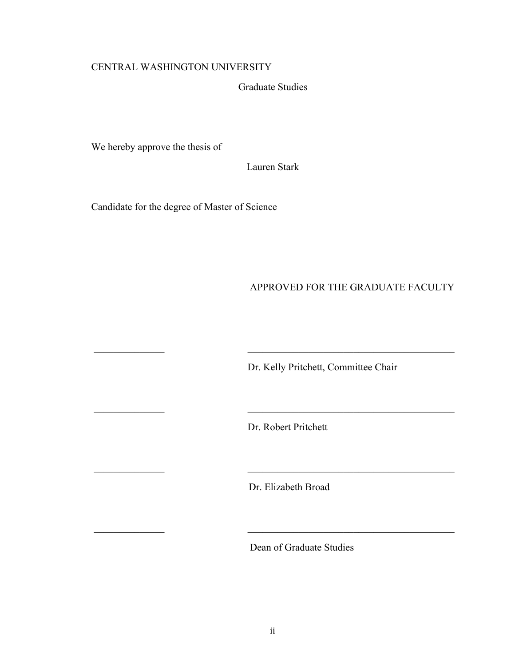### CENTRAL WASHINGTON UNIVERSITY

Graduate Studies

We hereby approve the thesis of

Lauren Stark

Candidate for the degree of Master of Science

APPROVED FOR THE GRADUATE FACULTY

Dr. Kelly Pritchett, Committee Chair

Dr. Robert Pritchett

\_\_\_\_\_\_\_\_\_\_\_\_\_\_ \_\_\_\_\_\_\_\_\_\_\_\_\_\_\_\_\_\_\_\_\_\_\_\_\_\_\_\_\_\_\_\_\_\_\_\_\_\_\_\_\_

 $\overline{\phantom{a}}$  ,  $\overline{\phantom{a}}$  ,  $\overline{\phantom{a}}$  ,  $\overline{\phantom{a}}$  ,  $\overline{\phantom{a}}$  ,  $\overline{\phantom{a}}$  ,  $\overline{\phantom{a}}$  ,  $\overline{\phantom{a}}$  ,  $\overline{\phantom{a}}$  ,  $\overline{\phantom{a}}$  ,  $\overline{\phantom{a}}$  ,  $\overline{\phantom{a}}$  ,  $\overline{\phantom{a}}$  ,  $\overline{\phantom{a}}$  ,  $\overline{\phantom{a}}$  ,  $\overline{\phantom{a}}$ 

\_\_\_\_\_\_\_\_\_\_\_\_\_\_ \_\_\_\_\_\_\_\_\_\_\_\_\_\_\_\_\_\_\_\_\_\_\_\_\_\_\_\_\_\_\_\_\_\_\_\_\_\_\_\_\_

\_\_\_\_\_\_\_\_\_\_\_\_\_\_ \_\_\_\_\_\_\_\_\_\_\_\_\_\_\_\_\_\_\_\_\_\_\_\_\_\_\_\_\_\_\_\_\_\_\_\_\_\_\_\_\_

Dr. Elizabeth Broad

Dean of Graduate Studies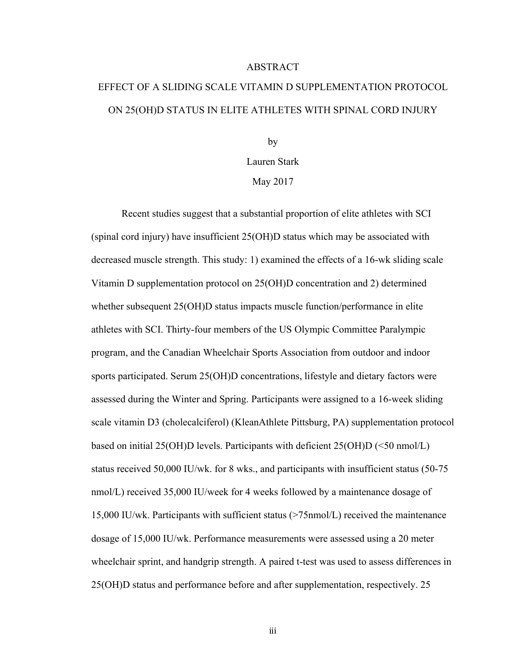#### ABSTRACT

# EFFECT OF A SLIDING SCALE VITAMIN D SUPPLEMENTATION PROTOCOL ON 25(OH)D STATUS IN ELITE ATHLETES WITH SPINAL CORD INJURY

by Lauren Stark May 2017

Recent studies suggest that a substantial proportion of elite athletes with SCI (spinal cord injury) have insufficient 25(OH)D status which may be associated with decreased muscle strength. This study: 1) examined the effects of a 16-wk sliding scale Vitamin D supplementation protocol on 25(OH)D concentration and 2) determined whether subsequent 25(OH)D status impacts muscle function/performance in elite athletes with SCI. Thirty-four members of the US Olympic Committee Paralympic program, and the Canadian Wheelchair Sports Association from outdoor and indoor sports participated. Serum 25(OH)D concentrations, lifestyle and dietary factors were assessed during the Winter and Spring. Participants were assigned to a 16-week sliding scale vitamin D3 (cholecalciferol) (KleanAthlete Pittsburg, PA) supplementation protocol based on initial 25(OH)D levels. Participants with deficient 25(OH)D (<50 nmol/L) status received 50,000 IU/wk. for 8 wks., and participants with insufficient status (50-75 nmol/L) received 35,000 IU/week for 4 weeks followed by a maintenance dosage of 15,000 IU/wk. Participants with sufficient status (>75nmol/L) received the maintenance dosage of 15,000 IU/wk. Performance measurements were assessed using a 20 meter wheelchair sprint, and handgrip strength. A paired t-test was used to assess differences in 25(OH)D status and performance before and after supplementation, respectively. 25

iii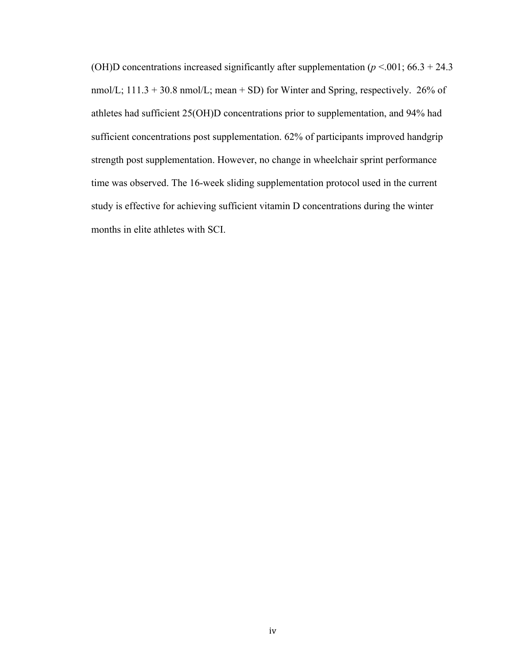(OH)D concentrations increased significantly after supplementation ( $p$  <.001; 66.3 + 24.3 nmol/L;  $111.3 + 30.8$  nmol/L; mean + SD) for Winter and Spring, respectively. 26% of athletes had sufficient 25(OH)D concentrations prior to supplementation, and 94% had sufficient concentrations post supplementation. 62% of participants improved handgrip strength post supplementation. However, no change in wheelchair sprint performance time was observed. The 16-week sliding supplementation protocol used in the current study is effective for achieving sufficient vitamin D concentrations during the winter months in elite athletes with SCI.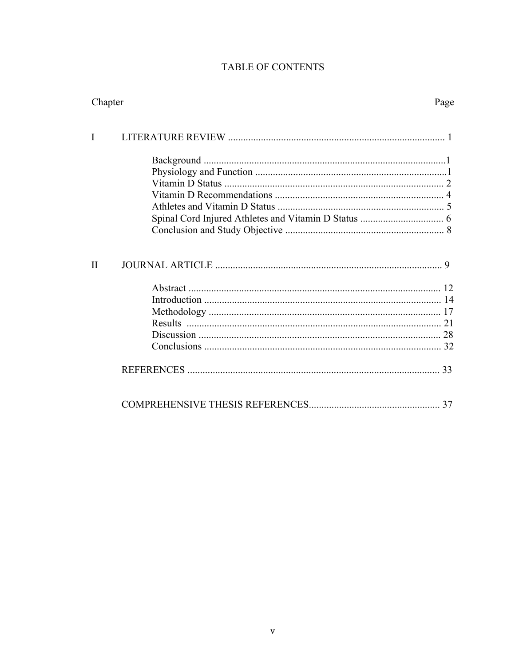# **TABLE OF CONTENTS**

| Chapter      |  | Page |
|--------------|--|------|
| I            |  |      |
|              |  |      |
|              |  |      |
|              |  |      |
|              |  |      |
|              |  |      |
|              |  |      |
|              |  |      |
| $\mathbf{I}$ |  |      |
|              |  |      |
|              |  |      |
|              |  |      |
|              |  |      |
|              |  |      |
|              |  |      |
|              |  | 33   |
|              |  |      |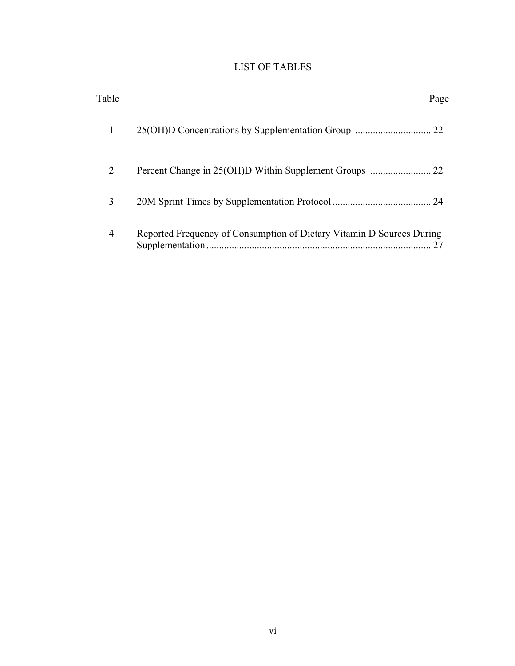# LIST OF TABLES

| Table          |                                                                       | Page |
|----------------|-----------------------------------------------------------------------|------|
|                |                                                                       |      |
| $\overline{2}$ |                                                                       |      |
| 3              |                                                                       |      |
| 4              | Reported Frequency of Consumption of Dietary Vitamin D Sources During | 27   |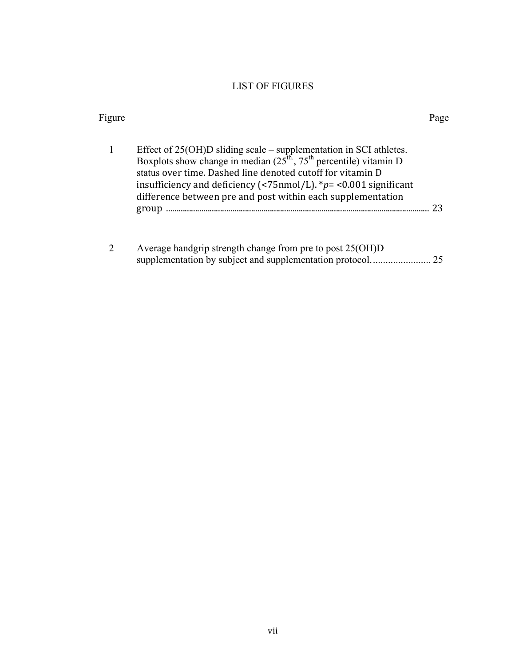### LIST OF FIGURES

| Figure |                                                                                                                                                                                                                                                                                                                                                        | Page |
|--------|--------------------------------------------------------------------------------------------------------------------------------------------------------------------------------------------------------------------------------------------------------------------------------------------------------------------------------------------------------|------|
| 1      | Effect of $25(OH)D$ sliding scale – supplementation in SCI athletes.<br>Boxplots show change in median $(25^{th}, 75^{th})$ percentile) vitamin D<br>status over time. Dashed line denoted cutoff for vitamin D<br>insufficiency and deficiency (<75nmol/L). * $p =$ <0.001 significant<br>difference between pre and post within each supplementation | 23   |
|        | Average handgrip strength change from pre to post $25(OH)D$<br>supplementation by subject and supplementation protocol.                                                                                                                                                                                                                                |      |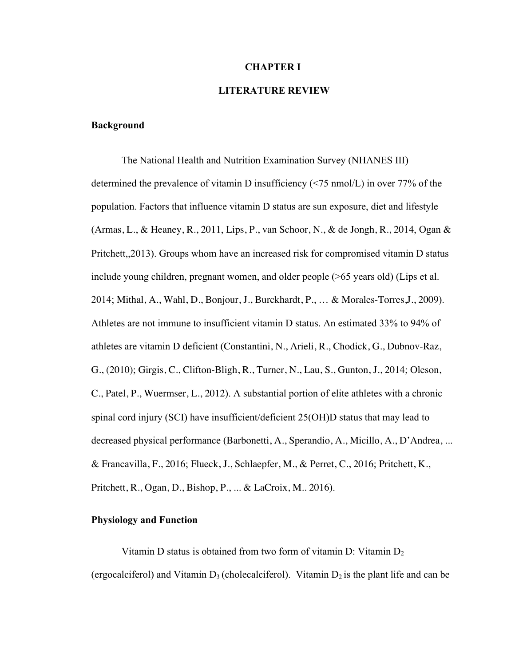#### **CHAPTER I**

#### **LITERATURE REVIEW**

#### **Background**

The National Health and Nutrition Examination Survey (NHANES III) determined the prevalence of vitamin D insufficiency (<75 nmol/L) in over 77% of the population. Factors that influence vitamin D status are sun exposure, diet and lifestyle (Armas, L., & Heaney, R., 2011, Lips, P., van Schoor, N., & de Jongh, R., 2014, Ogan & Pritchett,,2013). Groups whom have an increased risk for compromised vitamin D status include young children, pregnant women, and older people (>65 years old) (Lips et al. 2014; Mithal, A., Wahl, D., Bonjour, J., Burckhardt, P., … & Morales-Torres,J., 2009). Athletes are not immune to insufficient vitamin D status. An estimated 33% to 94% of athletes are vitamin D deficient (Constantini, N., Arieli, R., Chodick, G., Dubnov-Raz, G., (2010); Girgis, C., Clifton-Bligh, R., Turner, N., Lau, S., Gunton, J., 2014; Oleson, C., Patel, P., Wuermser, L., 2012). A substantial portion of elite athletes with a chronic spinal cord injury (SCI) have insufficient/deficient 25(OH)D status that may lead to decreased physical performance (Barbonetti, A., Sperandio, A., Micillo, A., D'Andrea, ... & Francavilla, F., 2016; Flueck, J., Schlaepfer, M., & Perret, C., 2016; Pritchett, K., Pritchett, R., Ogan, D., Bishop, P., ... & LaCroix, M.. 2016).

#### **Physiology and Function**

Vitamin D status is obtained from two form of vitamin D: Vitamin  $D_2$ (ergocalciferol) and Vitamin  $D_3$  (cholecalciferol). Vitamin  $D_2$  is the plant life and can be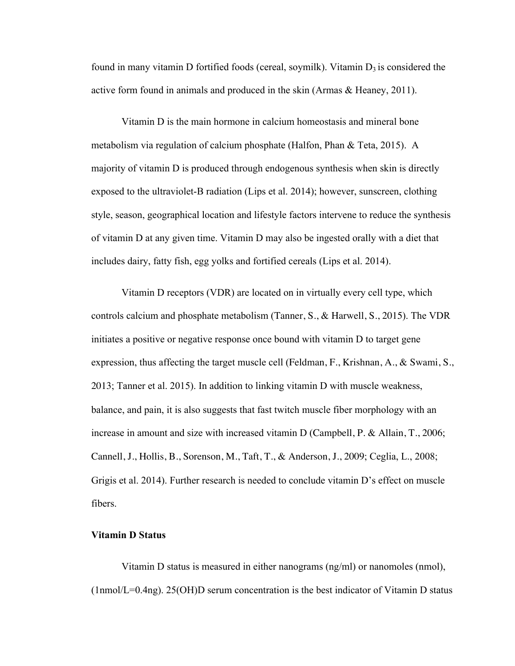found in many vitamin D fortified foods (cereal, soymilk). Vitamin  $D_3$  is considered the active form found in animals and produced in the skin (Armas & Heaney, 2011).

Vitamin D is the main hormone in calcium homeostasis and mineral bone metabolism via regulation of calcium phosphate (Halfon, Phan & Teta, 2015). A majority of vitamin D is produced through endogenous synthesis when skin is directly exposed to the ultraviolet-B radiation (Lips et al. 2014); however, sunscreen, clothing style, season, geographical location and lifestyle factors intervene to reduce the synthesis of vitamin D at any given time. Vitamin D may also be ingested orally with a diet that includes dairy, fatty fish, egg yolks and fortified cereals (Lips et al. 2014).

Vitamin D receptors (VDR) are located on in virtually every cell type, which controls calcium and phosphate metabolism (Tanner, S., & Harwell, S., 2015). The VDR initiates a positive or negative response once bound with vitamin D to target gene expression, thus affecting the target muscle cell (Feldman, F., Krishnan, A., & Swami, S., 2013; Tanner et al. 2015). In addition to linking vitamin D with muscle weakness, balance, and pain, it is also suggests that fast twitch muscle fiber morphology with an increase in amount and size with increased vitamin D (Campbell, P. & Allain, T., 2006; Cannell, J., Hollis, B., Sorenson, M., Taft, T., & Anderson, J., 2009; Ceglia, L., 2008; Grigis et al. 2014). Further research is needed to conclude vitamin D's effect on muscle fibers.

#### **Vitamin D Status**

Vitamin D status is measured in either nanograms (ng/ml) or nanomoles (nmol),  $(1nmol/L=0.4ng)$ . 25(OH)D serum concentration is the best indicator of Vitamin D status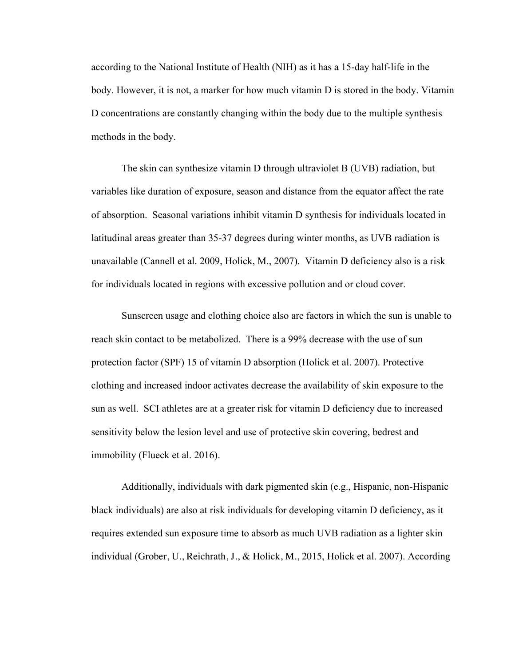according to the National Institute of Health (NIH) as it has a 15-day half-life in the body. However, it is not, a marker for how much vitamin D is stored in the body. Vitamin D concentrations are constantly changing within the body due to the multiple synthesis methods in the body.

The skin can synthesize vitamin D through ultraviolet B (UVB) radiation, but variables like duration of exposure, season and distance from the equator affect the rate of absorption. Seasonal variations inhibit vitamin D synthesis for individuals located in latitudinal areas greater than 35-37 degrees during winter months, as UVB radiation is unavailable (Cannell et al. 2009, Holick, M., 2007). Vitamin D deficiency also is a risk for individuals located in regions with excessive pollution and or cloud cover.

Sunscreen usage and clothing choice also are factors in which the sun is unable to reach skin contact to be metabolized. There is a 99% decrease with the use of sun protection factor (SPF) 15 of vitamin D absorption (Holick et al. 2007). Protective clothing and increased indoor activates decrease the availability of skin exposure to the sun as well. SCI athletes are at a greater risk for vitamin D deficiency due to increased sensitivity below the lesion level and use of protective skin covering, bedrest and immobility (Flueck et al. 2016).

Additionally, individuals with dark pigmented skin (e.g., Hispanic, non-Hispanic black individuals) are also at risk individuals for developing vitamin D deficiency, as it requires extended sun exposure time to absorb as much UVB radiation as a lighter skin individual (Grober, U., Reichrath, J., & Holick, M., 2015, Holick et al. 2007). According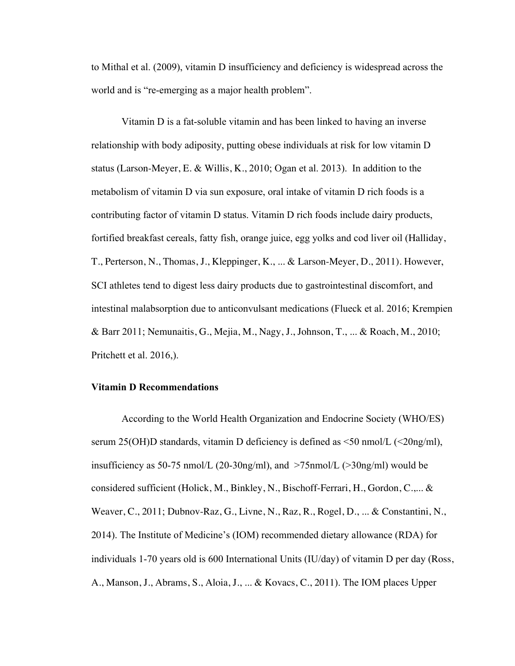to Mithal et al. (2009), vitamin D insufficiency and deficiency is widespread across the world and is "re-emerging as a major health problem".

Vitamin D is a fat-soluble vitamin and has been linked to having an inverse relationship with body adiposity, putting obese individuals at risk for low vitamin D status (Larson-Meyer, E. & Willis, K., 2010; Ogan et al. 2013). In addition to the metabolism of vitamin D via sun exposure, oral intake of vitamin D rich foods is a contributing factor of vitamin D status. Vitamin D rich foods include dairy products, fortified breakfast cereals, fatty fish, orange juice, egg yolks and cod liver oil (Halliday, T., Perterson, N., Thomas, J., Kleppinger, K., ... & Larson-Meyer, D., 2011). However, SCI athletes tend to digest less dairy products due to gastrointestinal discomfort, and intestinal malabsorption due to anticonvulsant medications (Flueck et al. 2016; Krempien & Barr 2011; Nemunaitis, G., Mejia, M., Nagy, J., Johnson, T., ... & Roach, M., 2010; Pritchett et al. 2016,).

#### **Vitamin D Recommendations**

According to the World Health Organization and Endocrine Society (WHO/ES) serum 25(OH)D standards, vitamin D deficiency is defined as  $\leq$  0 nmol/L ( $\leq$ 20ng/ml), insufficiency as 50-75 nmol/L (20-30ng/ml), and  $>75$ nmol/L ( $>30$ ng/ml) would be considered sufficient (Holick, M., Binkley, N., Bischoff-Ferrari, H., Gordon, C.,... & Weaver, C., 2011; Dubnov-Raz, G., Livne, N., Raz, R., Rogel, D., ... & Constantini, N., 2014). The Institute of Medicine's (IOM) recommended dietary allowance (RDA) for individuals 1-70 years old is 600 International Units (IU/day) of vitamin D per day (Ross, A., Manson, J., Abrams, S., Aloia, J., ... & Kovacs, C., 2011). The IOM places Upper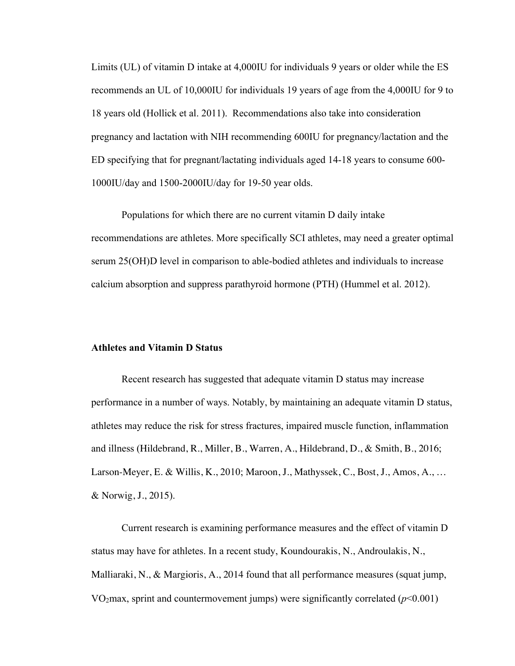Limits (UL) of vitamin D intake at 4,000IU for individuals 9 years or older while the ES recommends an UL of 10,000IU for individuals 19 years of age from the 4,000IU for 9 to 18 years old (Hollick et al. 2011). Recommendations also take into consideration pregnancy and lactation with NIH recommending 600IU for pregnancy/lactation and the ED specifying that for pregnant/lactating individuals aged 14-18 years to consume 600- 1000IU/day and 1500-2000IU/day for 19-50 year olds.

Populations for which there are no current vitamin D daily intake recommendations are athletes. More specifically SCI athletes, may need a greater optimal serum 25(OH)D level in comparison to able-bodied athletes and individuals to increase calcium absorption and suppress parathyroid hormone (PTH) (Hummel et al. 2012).

#### **Athletes and Vitamin D Status**

Recent research has suggested that adequate vitamin D status may increase performance in a number of ways. Notably, by maintaining an adequate vitamin D status, athletes may reduce the risk for stress fractures, impaired muscle function, inflammation and illness (Hildebrand, R., Miller, B., Warren, A., Hildebrand, D., & Smith, B., 2016; Larson-Meyer, E. & Willis, K., 2010; Maroon, J., Mathyssek, C., Bost, J., Amos, A., … & Norwig, J., 2015).

Current research is examining performance measures and the effect of vitamin D status may have for athletes. In a recent study, Koundourakis, N., Androulakis, N., Malliaraki, N., & Margioris, A., 2014 found that all performance measures (squat jump, VO<sub>2</sub>max, sprint and countermovement jumps) were significantly correlated  $(p<0.001)$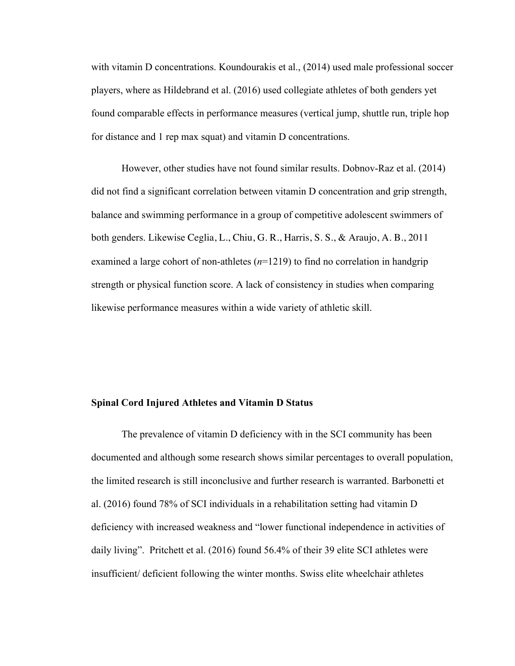with vitamin D concentrations. Koundourakis et al., (2014) used male professional soccer players, where as Hildebrand et al. (2016) used collegiate athletes of both genders yet found comparable effects in performance measures (vertical jump, shuttle run, triple hop for distance and 1 rep max squat) and vitamin D concentrations.

However, other studies have not found similar results. Dobnov-Raz et al. (2014) did not find a significant correlation between vitamin D concentration and grip strength, balance and swimming performance in a group of competitive adolescent swimmers of both genders. Likewise Ceglia, L., Chiu, G. R., Harris, S. S., & Araujo, A. B., 2011 examined a large cohort of non-athletes (*n*=1219) to find no correlation in handgrip strength or physical function score. A lack of consistency in studies when comparing likewise performance measures within a wide variety of athletic skill.

#### **Spinal Cord Injured Athletes and Vitamin D Status**

The prevalence of vitamin D deficiency with in the SCI community has been documented and although some research shows similar percentages to overall population, the limited research is still inconclusive and further research is warranted. Barbonetti et al. (2016) found 78% of SCI individuals in a rehabilitation setting had vitamin D deficiency with increased weakness and "lower functional independence in activities of daily living". Pritchett et al. (2016) found 56.4% of their 39 elite SCI athletes were insufficient/ deficient following the winter months. Swiss elite wheelchair athletes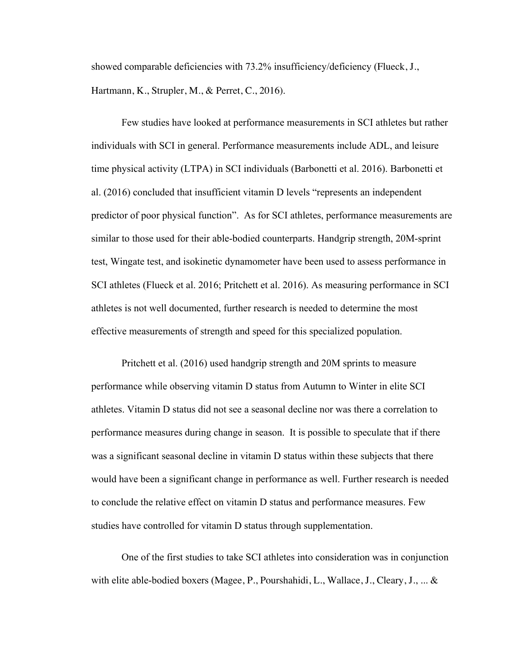showed comparable deficiencies with 73.2% insufficiency/deficiency (Flueck, J., Hartmann, K., Strupler, M., & Perret, C., 2016).

Few studies have looked at performance measurements in SCI athletes but rather individuals with SCI in general. Performance measurements include ADL, and leisure time physical activity (LTPA) in SCI individuals (Barbonetti et al. 2016). Barbonetti et al. (2016) concluded that insufficient vitamin D levels "represents an independent predictor of poor physical function". As for SCI athletes, performance measurements are similar to those used for their able-bodied counterparts. Handgrip strength, 20M-sprint test, Wingate test, and isokinetic dynamometer have been used to assess performance in SCI athletes (Flueck et al. 2016; Pritchett et al. 2016). As measuring performance in SCI athletes is not well documented, further research is needed to determine the most effective measurements of strength and speed for this specialized population.

Pritchett et al. (2016) used handgrip strength and 20M sprints to measure performance while observing vitamin D status from Autumn to Winter in elite SCI athletes. Vitamin D status did not see a seasonal decline nor was there a correlation to performance measures during change in season. It is possible to speculate that if there was a significant seasonal decline in vitamin D status within these subjects that there would have been a significant change in performance as well. Further research is needed to conclude the relative effect on vitamin D status and performance measures. Few studies have controlled for vitamin D status through supplementation.

One of the first studies to take SCI athletes into consideration was in conjunction with elite able-bodied boxers (Magee, P., Pourshahidi, L., Wallace, J., Cleary, J., ... &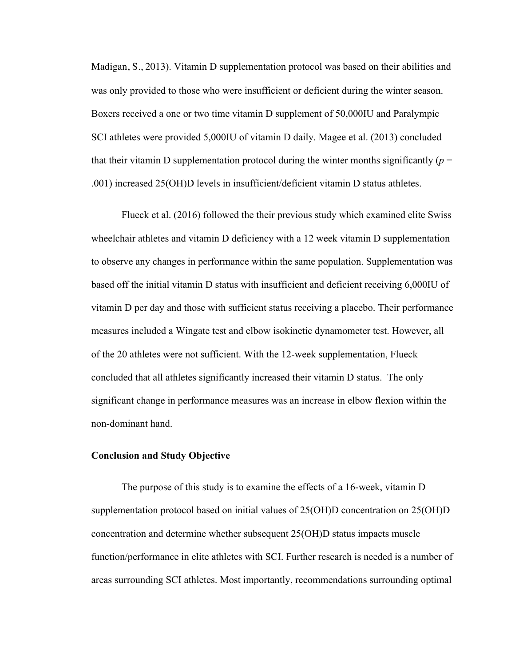Madigan, S., 2013). Vitamin D supplementation protocol was based on their abilities and was only provided to those who were insufficient or deficient during the winter season. Boxers received a one or two time vitamin D supplement of 50,000IU and Paralympic SCI athletes were provided 5,000IU of vitamin D daily. Magee et al. (2013) concluded that their vitamin D supplementation protocol during the winter months significantly ( $p =$ .001) increased 25(OH)D levels in insufficient/deficient vitamin D status athletes.

Flueck et al. (2016) followed the their previous study which examined elite Swiss wheelchair athletes and vitamin D deficiency with a 12 week vitamin D supplementation to observe any changes in performance within the same population. Supplementation was based off the initial vitamin D status with insufficient and deficient receiving 6,000IU of vitamin D per day and those with sufficient status receiving a placebo. Their performance measures included a Wingate test and elbow isokinetic dynamometer test. However, all of the 20 athletes were not sufficient. With the 12-week supplementation, Flueck concluded that all athletes significantly increased their vitamin D status. The only significant change in performance measures was an increase in elbow flexion within the non-dominant hand.

#### **Conclusion and Study Objective**

The purpose of this study is to examine the effects of a 16-week, vitamin D supplementation protocol based on initial values of 25(OH)D concentration on 25(OH)D concentration and determine whether subsequent 25(OH)D status impacts muscle function/performance in elite athletes with SCI. Further research is needed is a number of areas surrounding SCI athletes. Most importantly, recommendations surrounding optimal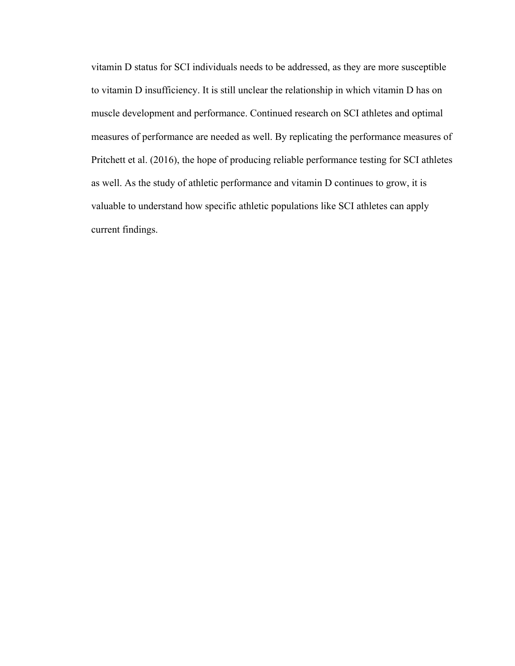vitamin D status for SCI individuals needs to be addressed, as they are more susceptible to vitamin D insufficiency. It is still unclear the relationship in which vitamin D has on muscle development and performance. Continued research on SCI athletes and optimal measures of performance are needed as well. By replicating the performance measures of Pritchett et al. (2016), the hope of producing reliable performance testing for SCI athletes as well. As the study of athletic performance and vitamin D continues to grow, it is valuable to understand how specific athletic populations like SCI athletes can apply current findings.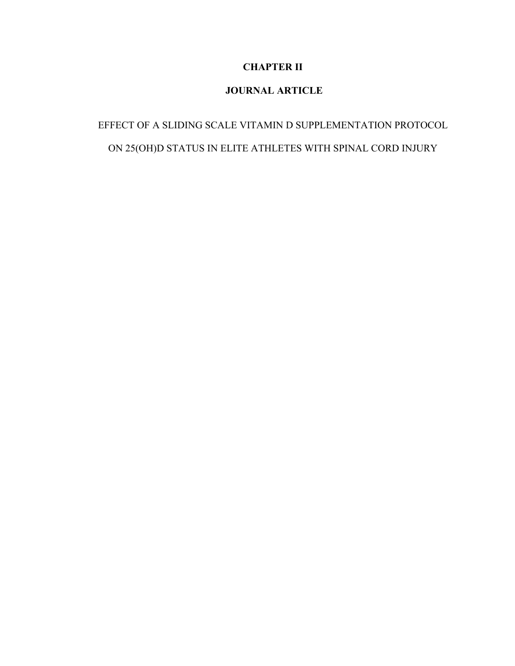# **CHAPTER II**

# **JOURNAL ARTICLE**

# EFFECT OF A SLIDING SCALE VITAMIN D SUPPLEMENTATION PROTOCOL ON 25(OH)D STATUS IN ELITE ATHLETES WITH SPINAL CORD INJURY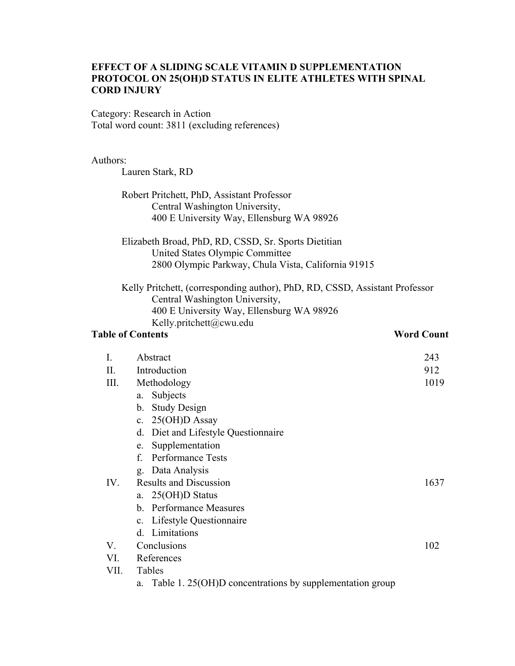### **EFFECT OF A SLIDING SCALE VITAMIN D SUPPLEMENTATION PROTOCOL ON 25(OH)D STATUS IN ELITE ATHLETES WITH SPINAL CORD INJURY**

Category: Research in Action Total word count: 3811 (excluding references)

#### Authors:

Lauren Stark, RD

Robert Pritchett, PhD, Assistant Professor Central Washington University, 400 E University Way, Ellensburg WA 98926

Elizabeth Broad, PhD, RD, CSSD, Sr. Sports Dietitian United States Olympic Committee 2800 Olympic Parkway, Chula Vista, California 91915

Kelly Pritchett, (corresponding author), PhD, RD, CSSD, Assistant Professor Central Washington University, 400 E University Way, Ellensburg WA 98926 Kelly.pritchett@cwu.edu

#### **Table of Contents** *Word Count*

| $\mathbf{I}$ . | Abstract                               | 243  |  |  |  |
|----------------|----------------------------------------|------|--|--|--|
| II.            | Introduction<br>912                    |      |  |  |  |
| Ш.             | Methodology                            | 1019 |  |  |  |
|                | Subjects<br>a.                         |      |  |  |  |
|                | <b>Study Design</b><br>b.              |      |  |  |  |
|                | $25(OH)D$ Assay<br>$\mathbf{c}$ .      |      |  |  |  |
|                | Diet and Lifestyle Questionnaire<br>d. |      |  |  |  |
|                | Supplementation<br>e.                  |      |  |  |  |
|                | <b>Performance Tests</b><br>f          |      |  |  |  |
|                | g. Data Analysis                       |      |  |  |  |
| IV.            | <b>Results and Discussion</b>          | 1637 |  |  |  |
|                | a. 25(OH)D Status                      |      |  |  |  |
|                | b. Performance Measures                |      |  |  |  |
|                | c. Lifestyle Questionnaire             |      |  |  |  |
|                | d. Limitations                         |      |  |  |  |
| V.             | Conclusions                            | 102  |  |  |  |
| VI.            | References                             |      |  |  |  |
| VII.           | Tables                                 |      |  |  |  |
|                | T1112227                               |      |  |  |  |

a. Table 1. 25(OH)D concentrations by supplementation group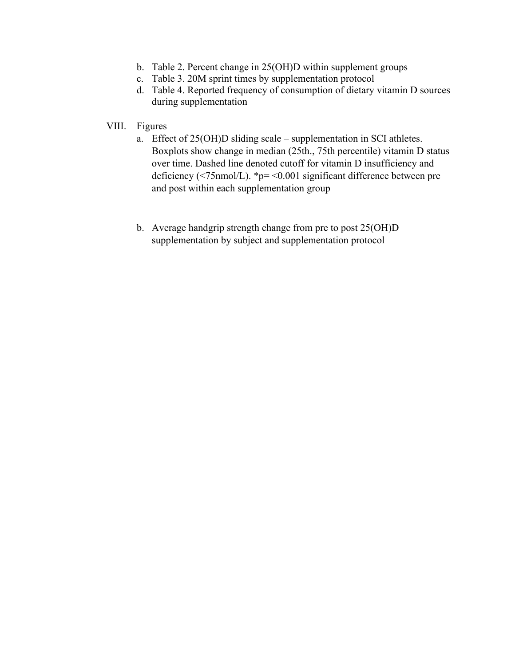- b. Table 2. Percent change in 25(OH)D within supplement groups
- c. Table 3. 20M sprint times by supplementation protocol
- d. Table 4. Reported frequency of consumption of dietary vitamin D sources during supplementation
- VIII. Figures
	- a. Effect of 25(OH)D sliding scale supplementation in SCI athletes. Boxplots show change in median (25th., 75th percentile) vitamin D status over time. Dashed line denoted cutoff for vitamin D insufficiency and deficiency ( $\leq$ 75nmol/L). \*p=  $\leq$ 0.001 significant difference between pre and post within each supplementation group
	- b. Average handgrip strength change from pre to post 25(OH)D supplementation by subject and supplementation protocol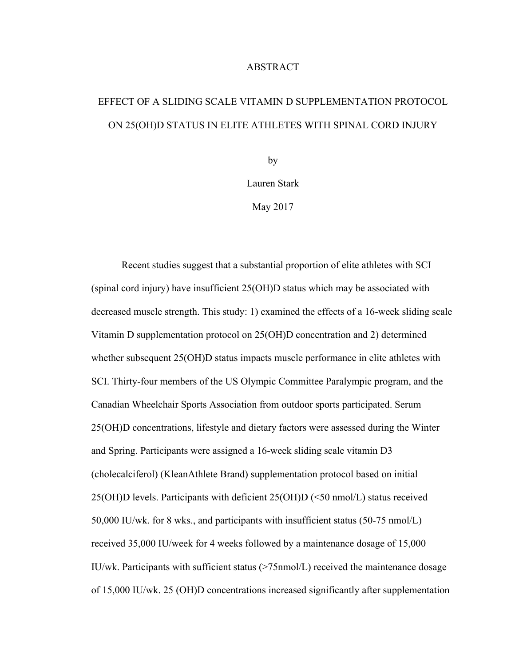#### ABSTRACT

# EFFECT OF A SLIDING SCALE VITAMIN D SUPPLEMENTATION PROTOCOL ON 25(OH)D STATUS IN ELITE ATHLETES WITH SPINAL CORD INJURY

by

Lauren Stark

May 2017

Recent studies suggest that a substantial proportion of elite athletes with SCI (spinal cord injury) have insufficient 25(OH)D status which may be associated with decreased muscle strength. This study: 1) examined the effects of a 16-week sliding scale Vitamin D supplementation protocol on 25(OH)D concentration and 2) determined whether subsequent 25(OH)D status impacts muscle performance in elite athletes with SCI. Thirty-four members of the US Olympic Committee Paralympic program, and the Canadian Wheelchair Sports Association from outdoor sports participated. Serum 25(OH)D concentrations, lifestyle and dietary factors were assessed during the Winter and Spring. Participants were assigned a 16-week sliding scale vitamin D3 (cholecalciferol) (KleanAthlete Brand) supplementation protocol based on initial 25(OH)D levels. Participants with deficient 25(OH)D (<50 nmol/L) status received 50,000 IU/wk. for 8 wks., and participants with insufficient status (50-75 nmol/L) received 35,000 IU/week for 4 weeks followed by a maintenance dosage of 15,000 IU/wk. Participants with sufficient status (>75nmol/L) received the maintenance dosage of 15,000 IU/wk. 25 (OH)D concentrations increased significantly after supplementation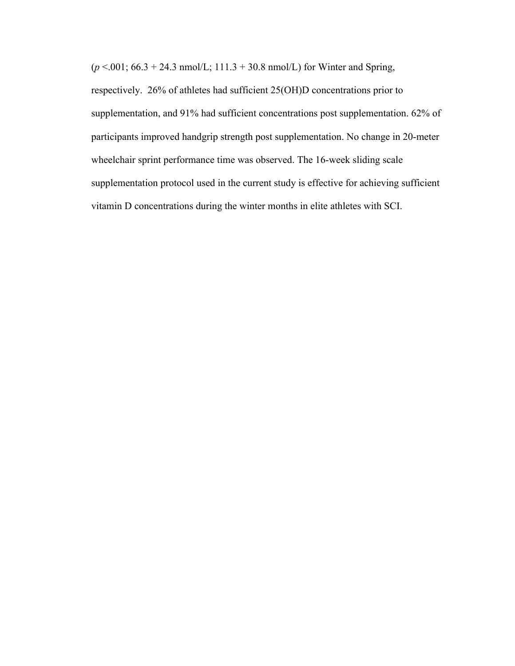$(p < .001; 66.3 + 24.3 \text{ nmol/L}; 111.3 + 30.8 \text{ nmol/L})$  for Winter and Spring,

respectively. 26% of athletes had sufficient 25(OH)D concentrations prior to supplementation, and 91% had sufficient concentrations post supplementation. 62% of participants improved handgrip strength post supplementation. No change in 20-meter wheelchair sprint performance time was observed. The 16-week sliding scale supplementation protocol used in the current study is effective for achieving sufficient vitamin D concentrations during the winter months in elite athletes with SCI.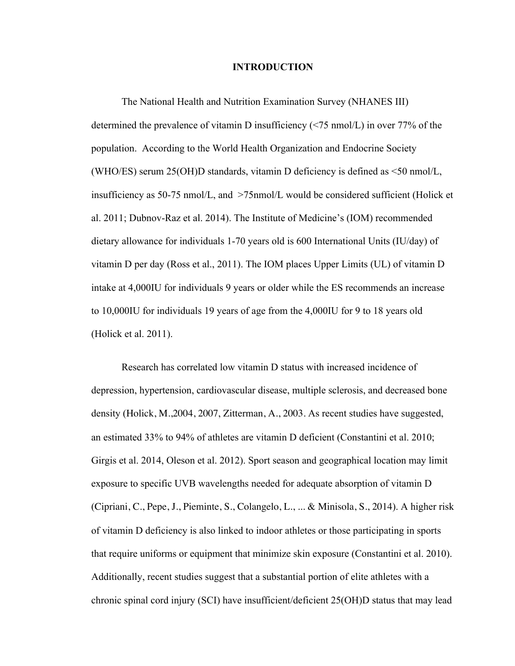#### **INTRODUCTION**

The National Health and Nutrition Examination Survey (NHANES III) determined the prevalence of vitamin D insufficiency (<75 nmol/L) in over 77% of the population. According to the World Health Organization and Endocrine Society (WHO/ES) serum 25(OH)D standards, vitamin D deficiency is defined as <50 nmol/L, insufficiency as 50-75 nmol/L, and >75nmol/L would be considered sufficient (Holick et al. 2011; Dubnov-Raz et al. 2014). The Institute of Medicine's (IOM) recommended dietary allowance for individuals 1-70 years old is 600 International Units (IU/day) of vitamin D per day (Ross et al., 2011). The IOM places Upper Limits (UL) of vitamin D intake at 4,000IU for individuals 9 years or older while the ES recommends an increase to 10,000IU for individuals 19 years of age from the 4,000IU for 9 to 18 years old (Holick et al. 2011).

Research has correlated low vitamin D status with increased incidence of depression, hypertension, cardiovascular disease, multiple sclerosis, and decreased bone density (Holick, M.,2004, 2007, Zitterman, A., 2003. As recent studies have suggested, an estimated 33% to 94% of athletes are vitamin D deficient (Constantini et al. 2010; Girgis et al. 2014, Oleson et al. 2012). Sport season and geographical location may limit exposure to specific UVB wavelengths needed for adequate absorption of vitamin D (Cipriani, C., Pepe, J., Pieminte, S., Colangelo, L., ... & Minisola, S., 2014). A higher risk of vitamin D deficiency is also linked to indoor athletes or those participating in sports that require uniforms or equipment that minimize skin exposure (Constantini et al. 2010). Additionally, recent studies suggest that a substantial portion of elite athletes with a chronic spinal cord injury (SCI) have insufficient/deficient 25(OH)D status that may lead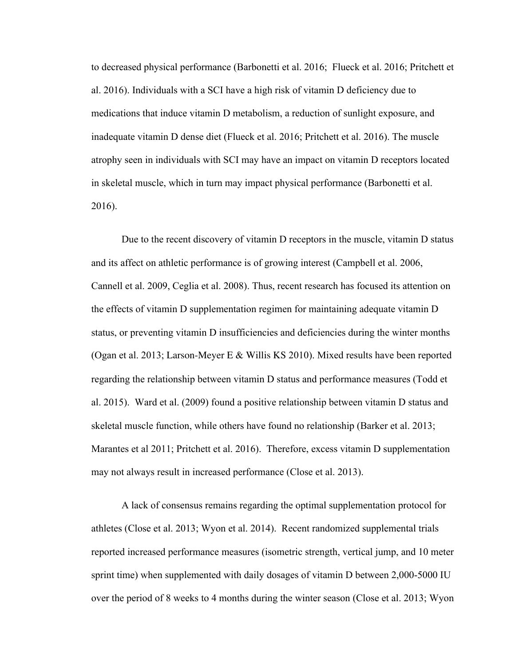to decreased physical performance (Barbonetti et al. 2016; Flueck et al. 2016; Pritchett et al. 2016). Individuals with a SCI have a high risk of vitamin D deficiency due to medications that induce vitamin D metabolism, a reduction of sunlight exposure, and inadequate vitamin D dense diet (Flueck et al. 2016; Pritchett et al. 2016). The muscle atrophy seen in individuals with SCI may have an impact on vitamin D receptors located in skeletal muscle, which in turn may impact physical performance (Barbonetti et al. 2016).

Due to the recent discovery of vitamin D receptors in the muscle, vitamin D status and its affect on athletic performance is of growing interest (Campbell et al. 2006, Cannell et al. 2009, Ceglia et al. 2008). Thus, recent research has focused its attention on the effects of vitamin D supplementation regimen for maintaining adequate vitamin D status, or preventing vitamin D insufficiencies and deficiencies during the winter months (Ogan et al. 2013; Larson-Meyer E & Willis KS 2010). Mixed results have been reported regarding the relationship between vitamin D status and performance measures (Todd et al. 2015). Ward et al. (2009) found a positive relationship between vitamin D status and skeletal muscle function, while others have found no relationship (Barker et al. 2013; Marantes et al 2011; Pritchett et al. 2016). Therefore, excess vitamin D supplementation may not always result in increased performance (Close et al. 2013).

A lack of consensus remains regarding the optimal supplementation protocol for athletes (Close et al. 2013; Wyon et al. 2014). Recent randomized supplemental trials reported increased performance measures (isometric strength, vertical jump, and 10 meter sprint time) when supplemented with daily dosages of vitamin D between 2,000-5000 IU over the period of 8 weeks to 4 months during the winter season (Close et al. 2013; Wyon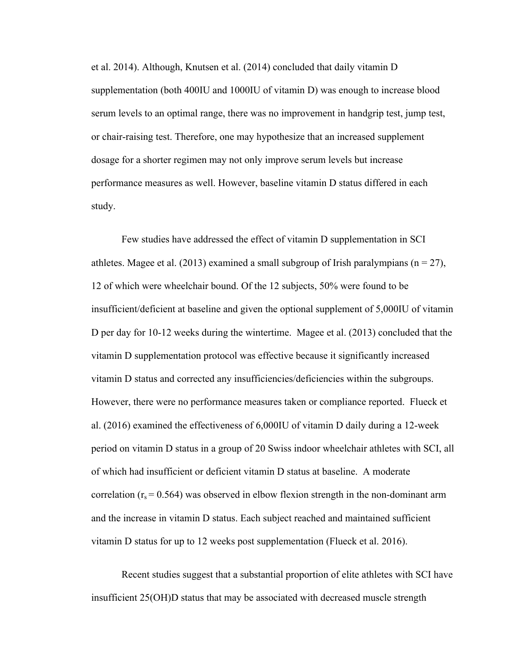et al. 2014). Although, Knutsen et al. (2014) concluded that daily vitamin D supplementation (both 400IU and 1000IU of vitamin D) was enough to increase blood serum levels to an optimal range, there was no improvement in handgrip test, jump test, or chair-raising test. Therefore, one may hypothesize that an increased supplement dosage for a shorter regimen may not only improve serum levels but increase performance measures as well. However, baseline vitamin D status differed in each study.

Few studies have addressed the effect of vitamin D supplementation in SCI athletes. Magee et al. (2013) examined a small subgroup of Irish paralympians ( $n = 27$ ), 12 of which were wheelchair bound. Of the 12 subjects, 50% were found to be insufficient/deficient at baseline and given the optional supplement of 5,000IU of vitamin D per day for 10-12 weeks during the wintertime. Magee et al. (2013) concluded that the vitamin D supplementation protocol was effective because it significantly increased vitamin D status and corrected any insufficiencies/deficiencies within the subgroups. However, there were no performance measures taken or compliance reported. Flueck et al. (2016) examined the effectiveness of 6,000IU of vitamin D daily during a 12-week period on vitamin D status in a group of 20 Swiss indoor wheelchair athletes with SCI, all of which had insufficient or deficient vitamin D status at baseline. A moderate correlation ( $r_s$  = 0.564) was observed in elbow flexion strength in the non-dominant arm and the increase in vitamin D status. Each subject reached and maintained sufficient vitamin D status for up to 12 weeks post supplementation (Flueck et al. 2016).

Recent studies suggest that a substantial proportion of elite athletes with SCI have insufficient 25(OH)D status that may be associated with decreased muscle strength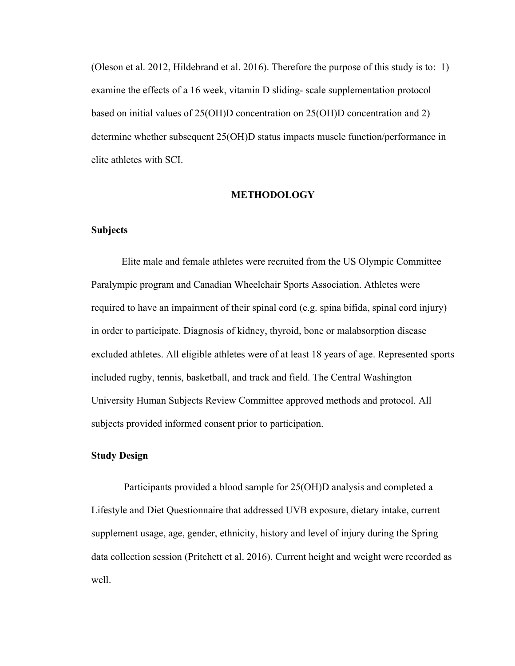(Oleson et al. 2012, Hildebrand et al. 2016). Therefore the purpose of this study is to: 1) examine the effects of a 16 week, vitamin D sliding- scale supplementation protocol based on initial values of 25(OH)D concentration on 25(OH)D concentration and 2) determine whether subsequent 25(OH)D status impacts muscle function/performance in elite athletes with SCI.

#### **METHODOLOGY**

#### **Subjects**

Elite male and female athletes were recruited from the US Olympic Committee Paralympic program and Canadian Wheelchair Sports Association. Athletes were required to have an impairment of their spinal cord (e.g. spina bifida, spinal cord injury) in order to participate. Diagnosis of kidney, thyroid, bone or malabsorption disease excluded athletes. All eligible athletes were of at least 18 years of age. Represented sports included rugby, tennis, basketball, and track and field. The Central Washington University Human Subjects Review Committee approved methods and protocol. All subjects provided informed consent prior to participation.

#### **Study Design**

Participants provided a blood sample for 25(OH)D analysis and completed a Lifestyle and Diet Questionnaire that addressed UVB exposure, dietary intake, current supplement usage, age, gender, ethnicity, history and level of injury during the Spring data collection session (Pritchett et al. 2016). Current height and weight were recorded as well.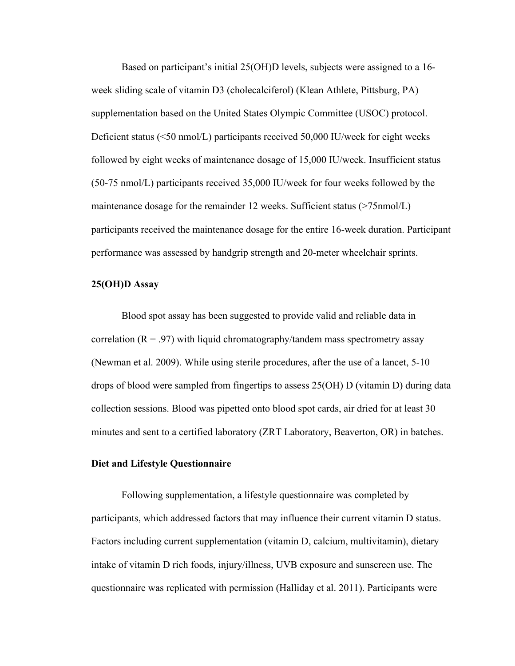Based on participant's initial 25(OH)D levels, subjects were assigned to a 16 week sliding scale of vitamin D3 (cholecalciferol) (Klean Athlete, Pittsburg, PA) supplementation based on the United States Olympic Committee (USOC) protocol. Deficient status (<50 nmol/L) participants received 50,000 IU/week for eight weeks followed by eight weeks of maintenance dosage of 15,000 IU/week. Insufficient status (50-75 nmol/L) participants received 35,000 IU/week for four weeks followed by the maintenance dosage for the remainder 12 weeks. Sufficient status (>75nmol/L) participants received the maintenance dosage for the entire 16-week duration. Participant performance was assessed by handgrip strength and 20-meter wheelchair sprints.

#### **25(OH)D Assay**

Blood spot assay has been suggested to provide valid and reliable data in correlation ( $R = 0.97$ ) with liquid chromatography/tandem mass spectrometry assay (Newman et al. 2009). While using sterile procedures, after the use of a lancet, 5-10 drops of blood were sampled from fingertips to assess 25(OH) D (vitamin D) during data collection sessions. Blood was pipetted onto blood spot cards, air dried for at least 30 minutes and sent to a certified laboratory (ZRT Laboratory, Beaverton, OR) in batches.

#### **Diet and Lifestyle Questionnaire**

Following supplementation, a lifestyle questionnaire was completed by participants, which addressed factors that may influence their current vitamin D status. Factors including current supplementation (vitamin D, calcium, multivitamin), dietary intake of vitamin D rich foods, injury/illness, UVB exposure and sunscreen use. The questionnaire was replicated with permission (Halliday et al. 2011). Participants were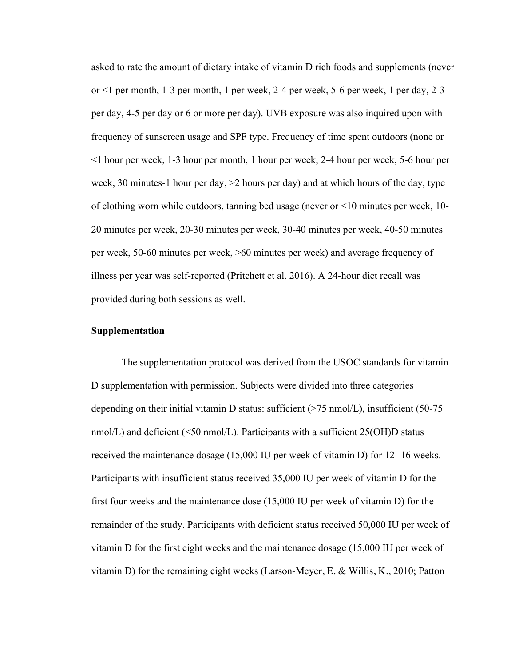asked to rate the amount of dietary intake of vitamin D rich foods and supplements (never or <1 per month, 1-3 per month, 1 per week, 2-4 per week, 5-6 per week, 1 per day, 2-3 per day, 4-5 per day or 6 or more per day). UVB exposure was also inquired upon with frequency of sunscreen usage and SPF type. Frequency of time spent outdoors (none or <1 hour per week, 1-3 hour per month, 1 hour per week, 2-4 hour per week, 5-6 hour per week, 30 minutes-1 hour per day, >2 hours per day) and at which hours of the day, type of clothing worn while outdoors, tanning bed usage (never or <10 minutes per week, 10- 20 minutes per week, 20-30 minutes per week, 30-40 minutes per week, 40-50 minutes per week, 50-60 minutes per week, >60 minutes per week) and average frequency of illness per year was self-reported (Pritchett et al. 2016). A 24-hour diet recall was provided during both sessions as well.

#### **Supplementation**

The supplementation protocol was derived from the USOC standards for vitamin D supplementation with permission. Subjects were divided into three categories depending on their initial vitamin D status: sufficient  $($ >75 nmol $/L$ ), insufficient (50-75 nmol/L) and deficient (<50 nmol/L). Participants with a sufficient 25(OH)D status received the maintenance dosage (15,000 IU per week of vitamin D) for 12- 16 weeks. Participants with insufficient status received 35,000 IU per week of vitamin D for the first four weeks and the maintenance dose (15,000 IU per week of vitamin D) for the remainder of the study. Participants with deficient status received 50,000 IU per week of vitamin D for the first eight weeks and the maintenance dosage (15,000 IU per week of vitamin D) for the remaining eight weeks (Larson-Meyer, E. & Willis, K., 2010; Patton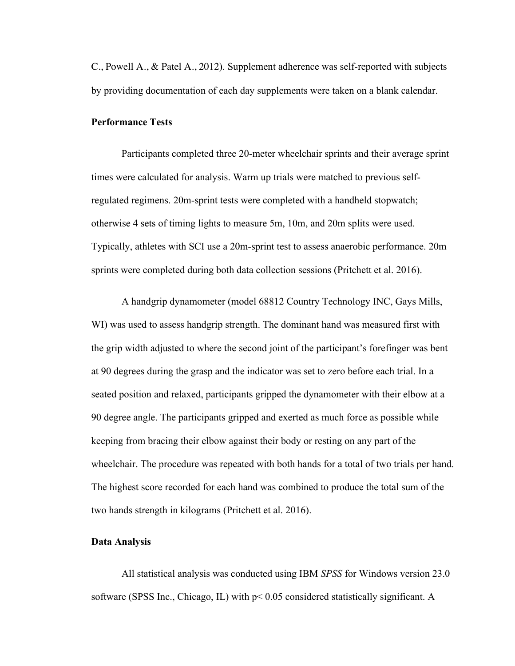C., Powell A., & Patel A., 2012). Supplement adherence was self-reported with subjects by providing documentation of each day supplements were taken on a blank calendar.

#### **Performance Tests**

Participants completed three 20-meter wheelchair sprints and their average sprint times were calculated for analysis. Warm up trials were matched to previous selfregulated regimens. 20m-sprint tests were completed with a handheld stopwatch; otherwise 4 sets of timing lights to measure 5m, 10m, and 20m splits were used. Typically, athletes with SCI use a 20m-sprint test to assess anaerobic performance. 20m sprints were completed during both data collection sessions (Pritchett et al. 2016).

A handgrip dynamometer (model 68812 Country Technology INC, Gays Mills, WI) was used to assess handgrip strength. The dominant hand was measured first with the grip width adjusted to where the second joint of the participant's forefinger was bent at 90 degrees during the grasp and the indicator was set to zero before each trial. In a seated position and relaxed, participants gripped the dynamometer with their elbow at a 90 degree angle. The participants gripped and exerted as much force as possible while keeping from bracing their elbow against their body or resting on any part of the wheelchair. The procedure was repeated with both hands for a total of two trials per hand. The highest score recorded for each hand was combined to produce the total sum of the two hands strength in kilograms (Pritchett et al. 2016).

#### **Data Analysis**

All statistical analysis was conducted using IBM *SPSS* for Windows version 23.0 software (SPSS Inc., Chicago, IL) with p< 0.05 considered statistically significant. A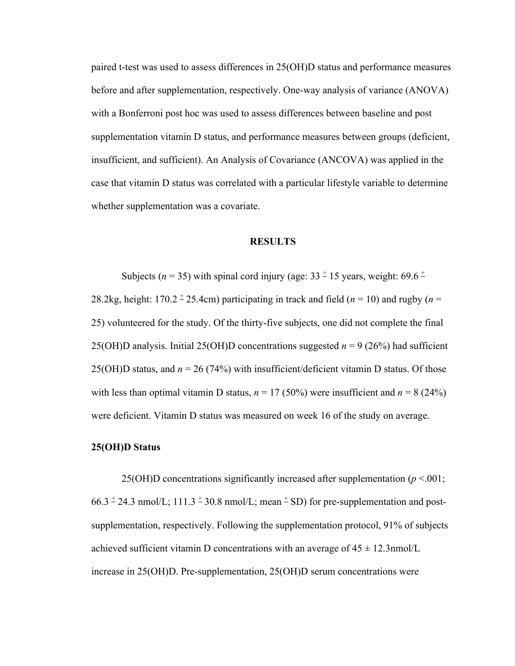paired t-test was used to assess differences in 25(OH)D status and performance measures before and after supplementation, respectively. One-way analysis of variance (ANOVA) with a Bonferroni post hoc was used to assess differences between baseline and post supplementation vitamin D status, and performance measures between groups (deficient, insufficient, and sufficient). An Analysis of Covariance (ANCOVA) was applied in the case that vitamin D status was correlated with a particular lifestyle variable to determine whether supplementation was a covariate.

#### **RESULTS**

Subjects ( $n = 35$ ) with spinal cord injury (age:  $33 \pm 15$  years, weight:  $69.6 \pm 15$ 

28.2kg, height:  $170.2 \pm 25.4$ cm) participating in track and field ( $n = 10$ ) and rugby ( $n =$ 25) volunteered for the study. Of the thirty-five subjects, one did not complete the final 25(OH)D analysis. Initial 25(OH)D concentrations suggested *n* = 9 (26%) had sufficient 25(OH)D status, and *n* = 26 (74%) with insufficient/deficient vitamin D status. Of those with less than optimal vitamin D status,  $n = 17 (50\%)$  were insufficient and  $n = 8 (24\%)$ were deficient. Vitamin D status was measured on week 16 of the study on average.

#### **25(OH)D Status**

25(OH)D concentrations significantly increased after supplementation  $(p < 0.01)$ ;  $66.3 \pm 24.3$  nmol/L;  $111.3 \pm 30.8$  nmol/L; mean  $\pm$  SD) for pre-supplementation and postsupplementation, respectively. Following the supplementation protocol, 91% of subjects achieved sufficient vitamin D concentrations with an average of  $45 \pm 12.3$  mmol/L increase in 25(OH)D. Pre-supplementation, 25(OH)D serum concentrations were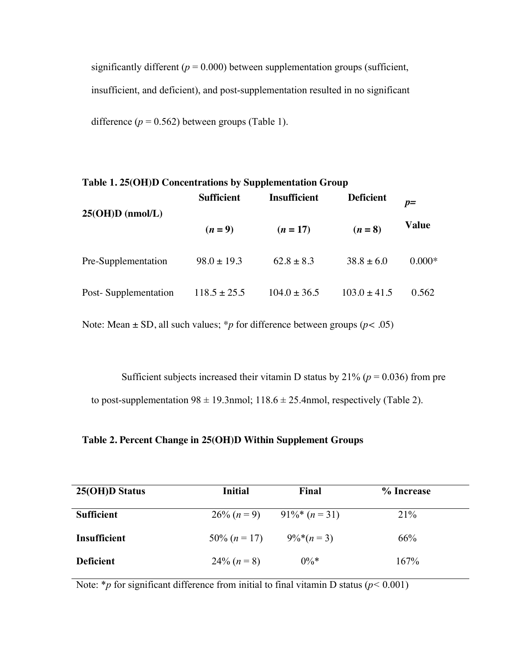significantly different  $(p = 0.000)$  between supplementation groups (sufficient, insufficient, and deficient), and post-supplementation resulted in no significant

difference  $(p = 0.562)$  between groups (Table 1).

| Table 1. 25(OH)D Concentrations by Supplementation Group |                   |                     |                  |          |  |
|----------------------------------------------------------|-------------------|---------------------|------------------|----------|--|
|                                                          | <b>Sufficient</b> | <b>Insufficient</b> | <b>Deficient</b> | $p=$     |  |
| $25(OH)D$ (nmol/L)                                       | $(n=9)$           | $(n=17)$            | $(n = 8)$        | Value    |  |
| Pre-Supplementation                                      | $98.0 \pm 19.3$   | $62.8 \pm 8.3$      | $38.8 \pm 6.0$   | $0.000*$ |  |
| Post-Supplementation                                     | $118.5 \pm 25.5$  | $104.0 \pm 36.5$    | $103.0 \pm 41.5$ | 0.562    |  |

Note: Mean  $\pm$  SD, all such values; \**p* for difference between groups ( $p$ < .05)

Sufficient subjects increased their vitamin D status by  $21\%$  ( $p = 0.036$ ) from pre to post-supplementation  $98 \pm 19.3$ nmol;  $118.6 \pm 25.4$ nmol, respectively (Table 2).

#### **Table 2. Percent Change in 25(OH)D Within Supplement Groups**

| 25(OH)D Status      | <b>Initial</b> | Final                      | % Increase |  |
|---------------------|----------------|----------------------------|------------|--|
| <b>Sufficient</b>   |                | $26\% (n=9)$ 91%* $(n=31)$ | 21%        |  |
| <b>Insufficient</b> | 50\% $(n=17)$  | $9\%*(n=3)$                | 66%        |  |
| <b>Deficient</b>    | $24\% (n=8)$   | $0\%*$                     | 167%       |  |

Note: \**p* for significant difference from initial to final vitamin D status ( $p < 0.001$ )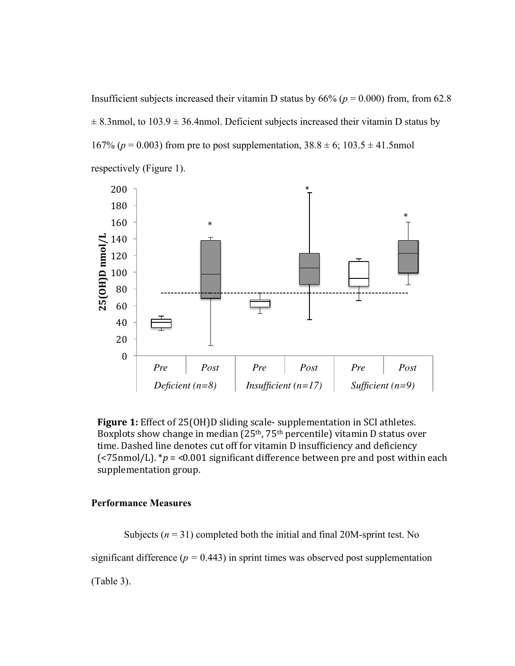Insufficient subjects increased their vitamin D status by  $66\%$  ( $p = 0.000$ ) from, from 62.8  $\pm$  8.3nmol, to 103.9  $\pm$  36.4nmol. Deficient subjects increased their vitamin D status by 167% ( $p = 0.003$ ) from pre to post supplementation,  $38.8 \pm 6$ ;  $103.5 \pm 41.5$ nmol respectively (Figure 1).





#### **Performance Measures**

Subjects  $(n = 31)$  completed both the initial and final 20M-sprint test. No significant difference ( $p = 0.443$ ) in sprint times was observed post supplementation (Table 3).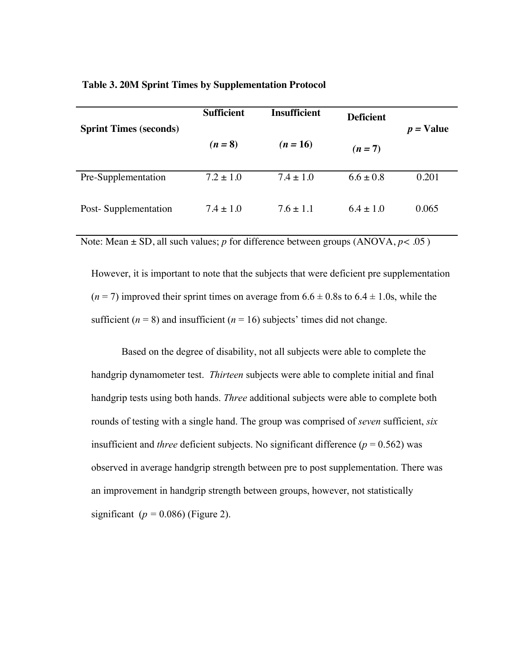| <b>Table 3. 20M Sprint Times by Supplementation Protocol</b> |
|--------------------------------------------------------------|
|--------------------------------------------------------------|

| <b>Sprint Times (seconds)</b> | <b>Sufficient</b> | <b>Insufficient</b> | <b>Deficient</b> | $p =$ Value |
|-------------------------------|-------------------|---------------------|------------------|-------------|
|                               | $(n = 8)$         | $(n = 16)$          | $(n=7)$          |             |
| Pre-Supplementation           | $7.2 \pm 1.0$     | $7.4 \pm 1.0$       | $6.6 \pm 0.8$    | 0.201       |
| Post-Supplementation          | $7.4 \pm 1.0$     | $7.6 \pm 1.1$       | $6.4 + 1.0$      | 0.065       |

Note: Mean  $\pm$  SD, all such values; *p* for difference between groups (ANOVA,  $p < .05$ )

However, it is important to note that the subjects that were deficient pre supplementation  $(n=7)$  improved their sprint times on average from  $6.6 \pm 0.8$  s to  $6.4 \pm 1.0$  s, while the sufficient  $(n = 8)$  and insufficient  $(n = 16)$  subjects' times did not change.

Based on the degree of disability, not all subjects were able to complete the handgrip dynamometer test. *Thirteen* subjects were able to complete initial and final handgrip tests using both hands. *Three* additional subjects were able to complete both rounds of testing with a single hand. The group was comprised of *seven* sufficient, *six* insufficient and *three* deficient subjects. No significant difference  $(p = 0.562)$  was observed in average handgrip strength between pre to post supplementation. There was an improvement in handgrip strength between groups, however, not statistically significant ( $p = 0.086$ ) (Figure 2).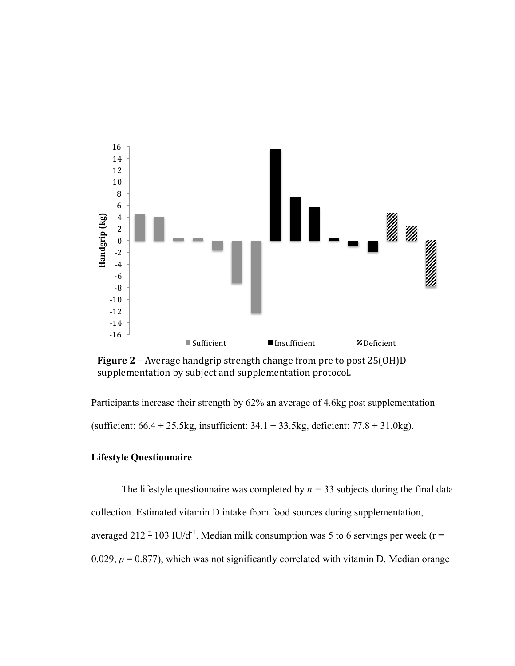

**Figure 2** – Average handgrip strength change from pre to post 25(OH)D supplementation by subject and supplementation protocol.

Participants increase their strength by 62% an average of 4.6kg post supplementation (sufficient:  $66.4 \pm 25.5$ kg, insufficient:  $34.1 \pm 33.5$ kg, deficient:  $77.8 \pm 31.0$ kg).

### **Lifestyle Questionnaire**

The lifestyle questionnaire was completed by  $n = 33$  subjects during the final data collection. Estimated vitamin D intake from food sources during supplementation, averaged 212  $^{\pm}$  103 IU/d<sup>-1</sup>. Median milk consumption was 5 to 6 servings per week (r = 0.029,  $p = 0.877$ ), which was not significantly correlated with vitamin D. Median orange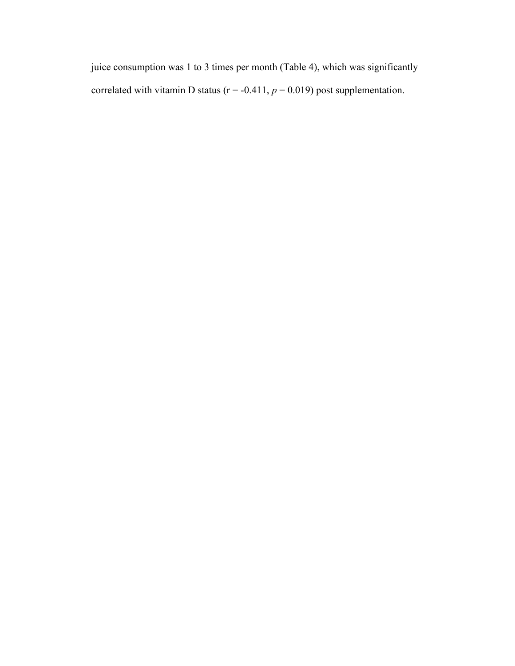juice consumption was 1 to 3 times per month (Table 4), which was significantly correlated with vitamin D status ( $r = -0.411$ ,  $p = 0.019$ ) post supplementation.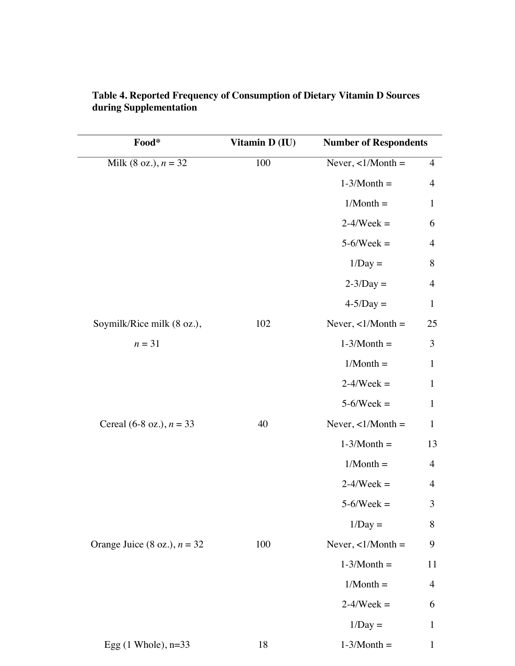| Food*                          | Vitamin D (IU) | <b>Number of Respondents</b> |                |
|--------------------------------|----------------|------------------------------|----------------|
| Milk (8 oz.), $n = 32$         | 100            | Never, $\langle 1/M$ onth =  | $\overline{4}$ |
|                                |                | $1-3/Month =$                | $\overline{4}$ |
|                                |                | $1/Month =$                  | $\mathbf{1}$   |
|                                |                | $2-4$ /Week =                | 6              |
|                                |                | $5-6$ /Week =                | $\overline{4}$ |
|                                |                | $1/Day =$                    | 8              |
|                                |                | $2-3/Day =$                  | $\overline{4}$ |
|                                |                | $4-5/Day =$                  | $\mathbf{1}$   |
| Soymilk/Rice milk (8 oz.),     | 102            | Never, $\langle 1/M$ onth =  | 25             |
| $n = 31$                       |                | $1-3/Month =$                | 3              |
|                                |                | $1/Month =$                  | $\mathbf{1}$   |
|                                |                | $2-4/Week =$                 | $\mathbf{1}$   |
|                                |                | $5-6$ /Week =                | $\mathbf{1}$   |
| Cereal (6-8 oz.), $n = 33$     | 40             | Never, $\langle 1/M$ onth =  | $\mathbf{1}$   |
|                                |                | $1-3/Month =$                | 13             |
|                                |                | $1/Month =$                  | $\overline{4}$ |
|                                |                | $2-4$ /Week =                | $\overline{4}$ |
|                                |                | $5-6/Week =$                 | 3              |
|                                |                | $1/Day =$                    | $8\,$          |
| Orange Juice (8 oz.), $n = 32$ | 100            | Never, $\langle 1/M$ onth =  | 9              |
|                                |                | $1-3/Month =$                | 11             |
|                                |                | $1/Month =$                  | $\overline{4}$ |
|                                |                | $2-4$ /Week =                | 6              |
|                                |                | $1/Day =$                    | $\mathbf{1}$   |
| Egg $(1$ Whole), $n=33$        | 18             | $1-3/Month =$                | $\mathbf{1}$   |

 $1/M$ onth  $-$  3

| Table 4. Reported Frequency of Consumption of Dietary Vitamin D Sources |
|-------------------------------------------------------------------------|
| during Supplementation                                                  |
|                                                                         |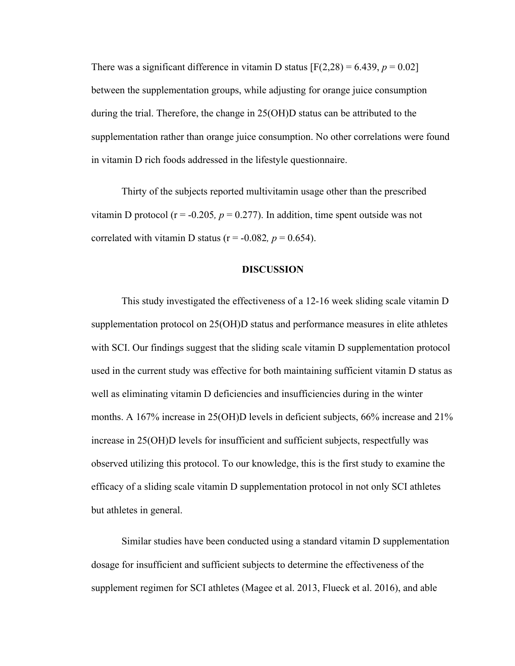There was a significant difference in vitamin D status  $[F(2,28) = 6.439, p = 0.02]$ between the supplementation groups, while adjusting for orange juice consumption during the trial. Therefore, the change in 25(OH)D status can be attributed to the supplementation rather than orange juice consumption. No other correlations were found in vitamin D rich foods addressed in the lifestyle questionnaire.

Thirty of the subjects reported multivitamin usage other than the prescribed vitamin D protocol ( $r = -0.205$ ,  $p = 0.277$ ). In addition, time spent outside was not correlated with vitamin D status ( $r = -0.082$ ,  $p = 0.654$ ).

#### **DISCUSSION**

This study investigated the effectiveness of a 12-16 week sliding scale vitamin D supplementation protocol on 25(OH)D status and performance measures in elite athletes with SCI. Our findings suggest that the sliding scale vitamin D supplementation protocol used in the current study was effective for both maintaining sufficient vitamin D status as well as eliminating vitamin D deficiencies and insufficiencies during in the winter months. A 167% increase in 25(OH)D levels in deficient subjects, 66% increase and 21% increase in 25(OH)D levels for insufficient and sufficient subjects, respectfully was observed utilizing this protocol. To our knowledge, this is the first study to examine the efficacy of a sliding scale vitamin D supplementation protocol in not only SCI athletes but athletes in general.

Similar studies have been conducted using a standard vitamin D supplementation dosage for insufficient and sufficient subjects to determine the effectiveness of the supplement regimen for SCI athletes (Magee et al. 2013, Flueck et al. 2016), and able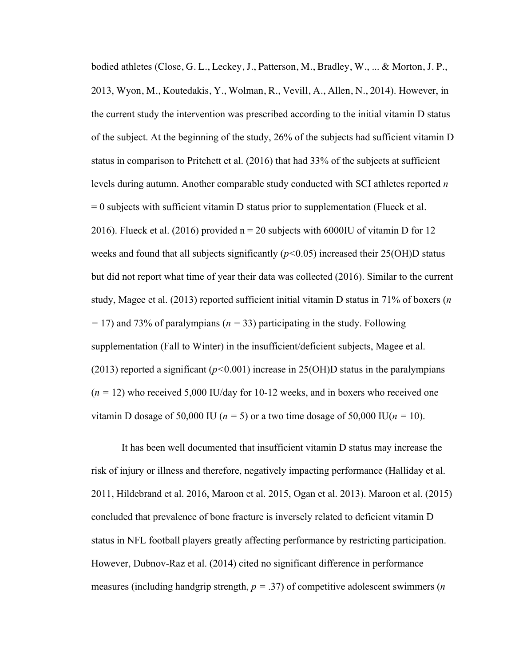bodied athletes (Close, G. L., Leckey, J., Patterson, M., Bradley, W., ... & Morton, J. P., 2013, Wyon, M., Koutedakis, Y., Wolman, R., Vevill, A., Allen, N., 2014). However, in the current study the intervention was prescribed according to the initial vitamin D status of the subject. At the beginning of the study, 26% of the subjects had sufficient vitamin D status in comparison to Pritchett et al. (2016) that had 33% of the subjects at sufficient levels during autumn. Another comparable study conducted with SCI athletes reported *n*  $= 0$  subjects with sufficient vitamin D status prior to supplementation (Flueck et al. 2016). Flueck et al. (2016) provided  $n = 20$  subjects with 6000IU of vitamin D for 12 weeks and found that all subjects significantly (*p<*0.05) increased their 25(OH)D status but did not report what time of year their data was collected (2016). Similar to the current study, Magee et al. (2013) reported sufficient initial vitamin D status in 71% of boxers (*n =* 17) and 73% of paralympians (*n =* 33) participating in the study. Following supplementation (Fall to Winter) in the insufficient/deficient subjects, Magee et al. (2013) reported a significant (*p<*0.001) increase in 25(OH)D status in the paralympians  $(n = 12)$  who received 5,000 IU/day for 10-12 weeks, and in boxers who received one vitamin D dosage of 50,000 IU ( $n = 5$ ) or a two time dosage of 50,000 IU( $n = 10$ ).

It has been well documented that insufficient vitamin D status may increase the risk of injury or illness and therefore, negatively impacting performance (Halliday et al. 2011, Hildebrand et al. 2016, Maroon et al. 2015, Ogan et al. 2013). Maroon et al. (2015) concluded that prevalence of bone fracture is inversely related to deficient vitamin D status in NFL football players greatly affecting performance by restricting participation. However, Dubnov-Raz et al. (2014) cited no significant difference in performance measures (including handgrip strength, *p =* .37) of competitive adolescent swimmers (*n*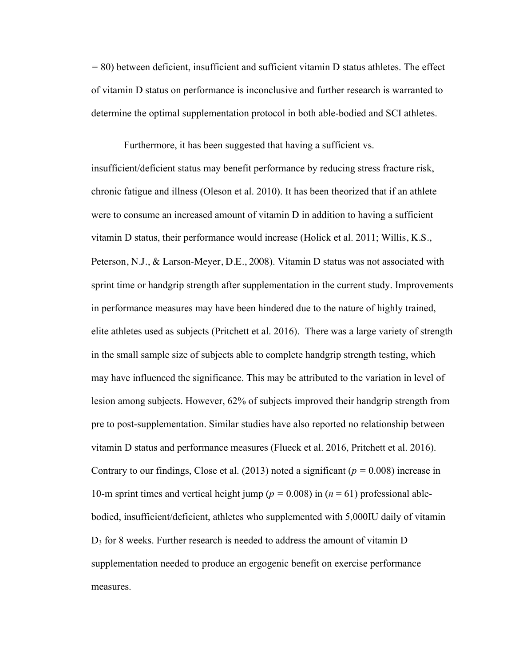*=* 80) between deficient, insufficient and sufficient vitamin D status athletes. The effect of vitamin D status on performance is inconclusive and further research is warranted to determine the optimal supplementation protocol in both able-bodied and SCI athletes.

Furthermore, it has been suggested that having a sufficient vs.

insufficient/deficient status may benefit performance by reducing stress fracture risk, chronic fatigue and illness (Oleson et al. 2010). It has been theorized that if an athlete were to consume an increased amount of vitamin D in addition to having a sufficient vitamin D status, their performance would increase (Holick et al. 2011; Willis, K.S., Peterson, N.J., & Larson-Meyer, D.E., 2008). Vitamin D status was not associated with sprint time or handgrip strength after supplementation in the current study. Improvements in performance measures may have been hindered due to the nature of highly trained, elite athletes used as subjects (Pritchett et al. 2016). There was a large variety of strength in the small sample size of subjects able to complete handgrip strength testing, which may have influenced the significance. This may be attributed to the variation in level of lesion among subjects. However, 62% of subjects improved their handgrip strength from pre to post-supplementation. Similar studies have also reported no relationship between vitamin D status and performance measures (Flueck et al. 2016, Pritchett et al. 2016). Contrary to our findings, Close et al. (2013) noted a significant ( $p = 0.008$ ) increase in 10-m sprint times and vertical height jump ( $p = 0.008$ ) in ( $n = 61$ ) professional ablebodied, insufficient/deficient, athletes who supplemented with 5,000IU daily of vitamin D3 for 8 weeks. Further research is needed to address the amount of vitamin D supplementation needed to produce an ergogenic benefit on exercise performance measures.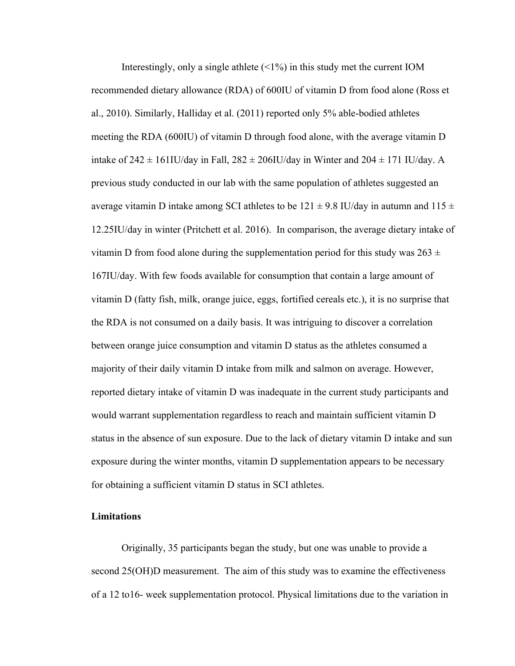Interestingly, only a single athlete  $(\leq 1\%)$  in this study met the current IOM recommended dietary allowance (RDA) of 600IU of vitamin D from food alone (Ross et al., 2010). Similarly, Halliday et al. (2011) reported only 5% able-bodied athletes meeting the RDA (600IU) of vitamin D through food alone, with the average vitamin D intake of  $242 \pm 161$ IU/day in Fall,  $282 \pm 206$ IU/day in Winter and  $204 \pm 171$  IU/day. A previous study conducted in our lab with the same population of athletes suggested an average vitamin D intake among SCI athletes to be  $121 \pm 9.8$  IU/day in autumn and  $115 \pm 10$ 12.25IU/day in winter (Pritchett et al. 2016). In comparison, the average dietary intake of vitamin D from food alone during the supplementation period for this study was  $263 \pm$ 167IU/day. With few foods available for consumption that contain a large amount of vitamin D (fatty fish, milk, orange juice, eggs, fortified cereals etc.), it is no surprise that the RDA is not consumed on a daily basis. It was intriguing to discover a correlation between orange juice consumption and vitamin D status as the athletes consumed a majority of their daily vitamin D intake from milk and salmon on average. However, reported dietary intake of vitamin D was inadequate in the current study participants and would warrant supplementation regardless to reach and maintain sufficient vitamin D status in the absence of sun exposure. Due to the lack of dietary vitamin D intake and sun exposure during the winter months, vitamin D supplementation appears to be necessary for obtaining a sufficient vitamin D status in SCI athletes.

#### **Limitations**

Originally, 35 participants began the study, but one was unable to provide a second 25(OH)D measurement. The aim of this study was to examine the effectiveness of a 12 to16- week supplementation protocol. Physical limitations due to the variation in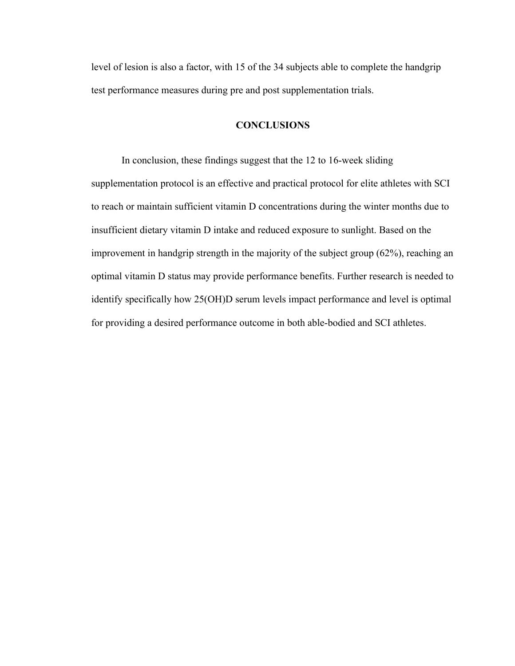level of lesion is also a factor, with 15 of the 34 subjects able to complete the handgrip test performance measures during pre and post supplementation trials.

### **CONCLUSIONS**

In conclusion, these findings suggest that the 12 to 16-week sliding supplementation protocol is an effective and practical protocol for elite athletes with SCI to reach or maintain sufficient vitamin D concentrations during the winter months due to insufficient dietary vitamin D intake and reduced exposure to sunlight. Based on the improvement in handgrip strength in the majority of the subject group (62%), reaching an optimal vitamin D status may provide performance benefits. Further research is needed to identify specifically how 25(OH)D serum levels impact performance and level is optimal for providing a desired performance outcome in both able-bodied and SCI athletes.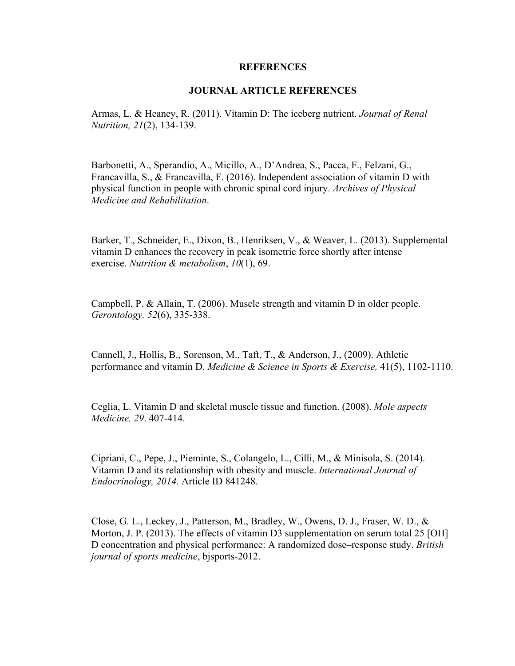#### **REFERENCES**

#### **JOURNAL ARTICLE REFERENCES**

Armas, L. & Heaney, R. (2011). Vitamin D: The iceberg nutrient. *Journal of Renal Nutrition, 21*(2), 134-139.

Barbonetti, A., Sperandio, A., Micillo, A., D'Andrea, S., Pacca, F., Felzani, G., Francavilla, S., & Francavilla, F. (2016). Independent association of vitamin D with physical function in people with chronic spinal cord injury. *Archives of Physical Medicine and Rehabilitation*.

Barker, T., Schneider, E., Dixon, B., Henriksen, V., & Weaver, L. (2013). Supplemental vitamin D enhances the recovery in peak isometric force shortly after intense exercise. *Nutrition & metabolism*, *10*(1), 69.

Campbell, P. & Allain, T. (2006). Muscle strength and vitamin D in older people. *Gerontology. 52*(6), 335-338.

Cannell, J., Hollis, B., Sorenson, M., Taft, T., & Anderson, J., (2009). Athletic performance and vitamin D. *Medicine & Science in Sports & Exercise,* 41(5), 1102-1110.

Ceglia, L. Vitamin D and skeletal muscle tissue and function. (2008). *Mole aspects Medicine. 29*. 407-414.

Cipriani, C., Pepe, J., Pieminte, S., Colangelo, L., Cilli, M., & Minisola, S. (2014). Vitamin D and its relationship with obesity and muscle. *International Journal of Endocrinology, 2014.* Article ID 841248.

Close, G. L., Leckey, J., Patterson, M., Bradley, W., Owens, D. J., Fraser, W. D., & Morton, J. P. (2013). The effects of vitamin D3 supplementation on serum total 25 [OH] D concentration and physical performance: A randomized dose–response study. *British journal of sports medicine*, bjsports-2012.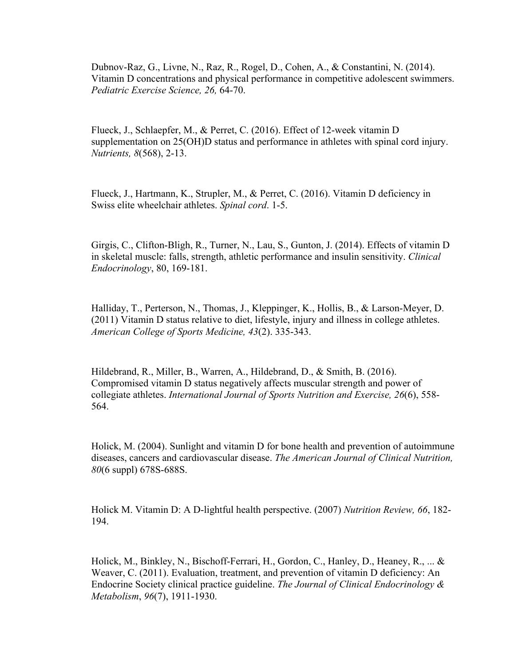Dubnov-Raz, G., Livne, N., Raz, R., Rogel, D., Cohen, A., & Constantini, N. (2014). Vitamin D concentrations and physical performance in competitive adolescent swimmers. *Pediatric Exercise Science, 26,* 64-70.

Flueck, J., Schlaepfer, M., & Perret, C. (2016). Effect of 12-week vitamin D supplementation on 25(OH)D status and performance in athletes with spinal cord injury. *Nutrients, 8*(568), 2-13.

Flueck, J., Hartmann, K., Strupler, M., & Perret, C. (2016). Vitamin D deficiency in Swiss elite wheelchair athletes. *Spinal cord*. 1-5.

Girgis, C., Clifton-Bligh, R., Turner, N., Lau, S., Gunton, J. (2014). Effects of vitamin D in skeletal muscle: falls, strength, athletic performance and insulin sensitivity. *Clinical Endocrinology*, 80, 169-181.

Halliday, T., Perterson, N., Thomas, J., Kleppinger, K., Hollis, B., & Larson-Meyer, D. (2011) Vitamin D status relative to diet, lifestyle, injury and illness in college athletes. *American College of Sports Medicine, 43*(2). 335-343.

Hildebrand, R., Miller, B., Warren, A., Hildebrand, D., & Smith, B. (2016). Compromised vitamin D status negatively affects muscular strength and power of collegiate athletes. *International Journal of Sports Nutrition and Exercise, 26*(6), 558- 564.

Holick, M. (2004). Sunlight and vitamin D for bone health and prevention of autoimmune diseases, cancers and cardiovascular disease. *The American Journal of Clinical Nutrition, 80*(6 suppl) 678S-688S.

Holick M. Vitamin D: A D-lightful health perspective. (2007) *Nutrition Review, 66*, 182- 194.

Holick, M., Binkley, N., Bischoff-Ferrari, H., Gordon, C., Hanley, D., Heaney, R., ... & Weaver, C. (2011). Evaluation, treatment, and prevention of vitamin D deficiency: An Endocrine Society clinical practice guideline. *The Journal of Clinical Endocrinology & Metabolism*, *96*(7), 1911-1930.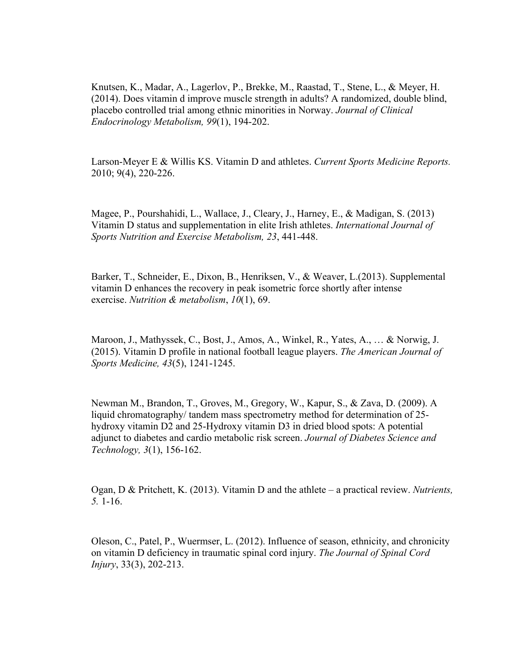Knutsen, K., Madar, A., Lagerlov, P., Brekke, M., Raastad, T., Stene, L., & Meyer, H. (2014). Does vitamin d improve muscle strength in adults? A randomized, double blind, placebo controlled trial among ethnic minorities in Norway. *Journal of Clinical Endocrinology Metabolism, 99*(1), 194-202.

Larson-Meyer E & Willis KS. Vitamin D and athletes. *Current Sports Medicine Reports.* 2010; 9(4), 220-226.

Magee, P., Pourshahidi, L., Wallace, J., Cleary, J., Harney, E., & Madigan, S. (2013) Vitamin D status and supplementation in elite Irish athletes. *International Journal of Sports Nutrition and Exercise Metabolism, 23*, 441-448.

Barker, T., Schneider, E., Dixon, B., Henriksen, V., & Weaver, L.(2013). Supplemental vitamin D enhances the recovery in peak isometric force shortly after intense exercise. *Nutrition & metabolism*, *10*(1), 69.

Maroon, J., Mathyssek, C., Bost, J., Amos, A., Winkel, R., Yates, A., … & Norwig, J. (2015). Vitamin D profile in national football league players. *The American Journal of Sports Medicine, 43*(5), 1241-1245.

Newman M., Brandon, T., Groves, M., Gregory, W., Kapur, S., & Zava, D. (2009). A liquid chromatography/ tandem mass spectrometry method for determination of 25 hydroxy vitamin D2 and 25-Hydroxy vitamin D3 in dried blood spots: A potential adjunct to diabetes and cardio metabolic risk screen. *Journal of Diabetes Science and Technology, 3*(1), 156-162.

Ogan, D & Pritchett, K. (2013). Vitamin D and the athlete – a practical review. *Nutrients, 5.* 1-16.

Oleson, C., Patel, P., Wuermser, L. (2012). Influence of season, ethnicity, and chronicity on vitamin D deficiency in traumatic spinal cord injury. *The Journal of Spinal Cord Injury*, 33(3), 202-213.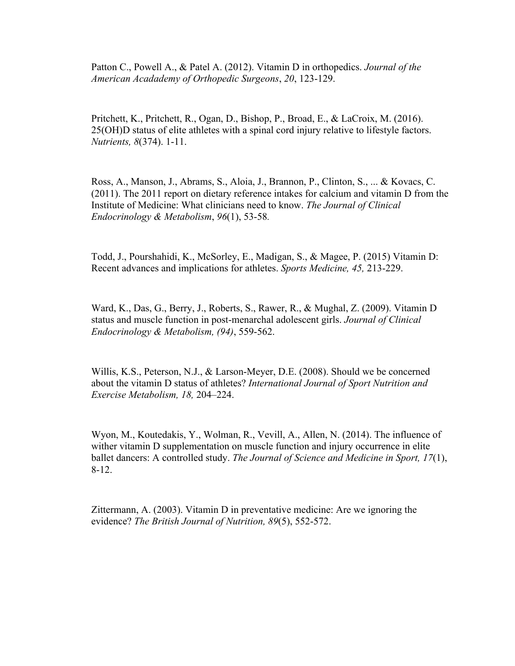Patton C., Powell A., & Patel A. (2012). Vitamin D in orthopedics. *Journal of the American Acadademy of Orthopedic Surgeons*, *20*, 123-129.

Pritchett, K., Pritchett, R., Ogan, D., Bishop, P., Broad, E., & LaCroix, M. (2016). 25(OH)D status of elite athletes with a spinal cord injury relative to lifestyle factors. *Nutrients, 8*(374). 1-11.

Ross, A., Manson, J., Abrams, S., Aloia, J., Brannon, P., Clinton, S., ... & Kovacs, C. (2011). The 2011 report on dietary reference intakes for calcium and vitamin D from the Institute of Medicine: What clinicians need to know. *The Journal of Clinical Endocrinology & Metabolism*, *96*(1), 53-58*.*

Todd, J., Pourshahidi, K., McSorley, E., Madigan, S., & Magee, P. (2015) Vitamin D: Recent advances and implications for athletes. *Sports Medicine, 45,* 213-229.

Ward, K., Das, G., Berry, J., Roberts, S., Rawer, R., & Mughal, Z. (2009). Vitamin D status and muscle function in post-menarchal adolescent girls. *Journal of Clinical Endocrinology & Metabolism, (94)*, 559-562.

Willis, K.S., Peterson, N.J., & Larson-Meyer, D.E. (2008). Should we be concerned about the vitamin D status of athletes? *International Journal of Sport Nutrition and Exercise Metabolism, 18,* 204–224.

Wyon, M., Koutedakis, Y., Wolman, R., Vevill, A., Allen, N. (2014). The influence of wither vitamin D supplementation on muscle function and injury occurrence in elite ballet dancers: A controlled study. *The Journal of Science and Medicine in Sport, 17*(1), 8-12.

Zittermann, A. (2003). Vitamin D in preventative medicine: Are we ignoring the evidence? *The British Journal of Nutrition, 89*(5), 552-572.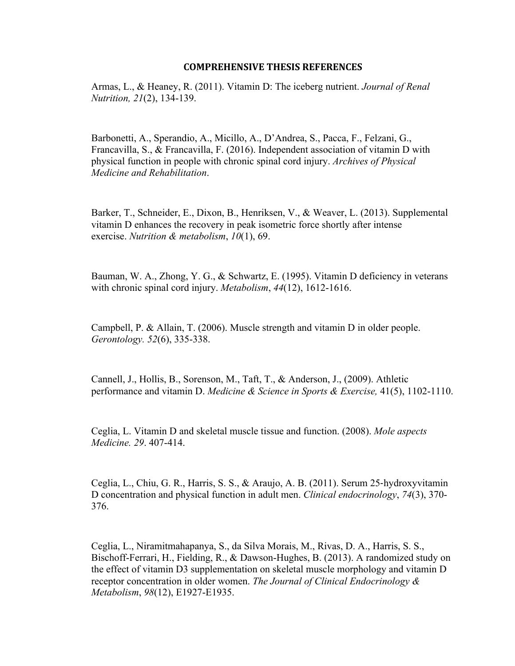#### **COMPREHENSIVE THESIS REFERENCES**

Armas, L., & Heaney, R. (2011). Vitamin D: The iceberg nutrient. *Journal of Renal Nutrition, 21*(2), 134-139.

Barbonetti, A., Sperandio, A., Micillo, A., D'Andrea, S., Pacca, F., Felzani, G., Francavilla, S., & Francavilla, F. (2016). Independent association of vitamin D with physical function in people with chronic spinal cord injury. *Archives of Physical Medicine and Rehabilitation*.

Barker, T., Schneider, E., Dixon, B., Henriksen, V., & Weaver, L. (2013). Supplemental vitamin D enhances the recovery in peak isometric force shortly after intense exercise. *Nutrition & metabolism*, *10*(1), 69.

Bauman, W. A., Zhong, Y. G., & Schwartz, E. (1995). Vitamin D deficiency in veterans with chronic spinal cord injury. *Metabolism*, *44*(12), 1612-1616.

Campbell, P. & Allain, T. (2006). Muscle strength and vitamin D in older people. *Gerontology. 52*(6), 335-338.

Cannell, J., Hollis, B., Sorenson, M., Taft, T., & Anderson, J., (2009). Athletic performance and vitamin D. *Medicine & Science in Sports & Exercise,* 41(5), 1102-1110.

Ceglia, L. Vitamin D and skeletal muscle tissue and function. (2008). *Mole aspects Medicine. 29*. 407-414.

Ceglia, L., Chiu, G. R., Harris, S. S., & Araujo, A. B. (2011). Serum 25-hydroxyvitamin D concentration and physical function in adult men. *Clinical endocrinology*, *74*(3), 370- 376.

Ceglia, L., Niramitmahapanya, S., da Silva Morais, M., Rivas, D. A., Harris, S. S., Bischoff-Ferrari, H., Fielding, R., & Dawson-Hughes, B. (2013). A randomized study on the effect of vitamin D3 supplementation on skeletal muscle morphology and vitamin D receptor concentration in older women. *The Journal of Clinical Endocrinology & Metabolism*, *98*(12), E1927-E1935.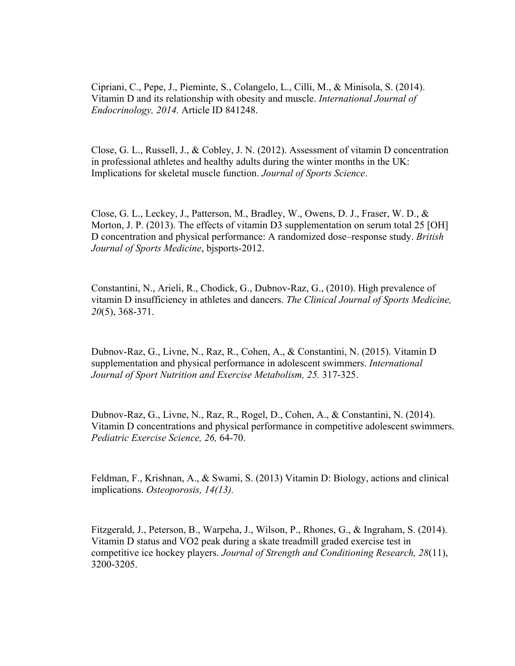Cipriani, C., Pepe, J., Pieminte, S., Colangelo, L., Cilli, M., & Minisola, S. (2014). Vitamin D and its relationship with obesity and muscle. *International Journal of Endocrinology, 2014.* Article ID 841248.

Close, G. L., Russell, J., & Cobley, J. N. (2012). Assessment of vitamin D concentration in professional athletes and healthy adults during the winter months in the UK: Implications for skeletal muscle function. *Journal of Sports Science*.

Close, G. L., Leckey, J., Patterson, M., Bradley, W., Owens, D. J., Fraser, W. D., & Morton, J. P. (2013). The effects of vitamin D3 supplementation on serum total 25 [OH] D concentration and physical performance: A randomized dose–response study. *British Journal of Sports Medicine*, bjsports-2012.

Constantini, N., Arieli, R., Chodick, G., Dubnov-Raz, G., (2010). High prevalence of vitamin D insufficiency in athletes and dancers. *The Clinical Journal of Sports Medicine, 20*(5), 368-371.

Dubnov-Raz, G., Livne, N., Raz, R., Cohen, A., & Constantini, N. (2015). Vitamin D supplementation and physical performance in adolescent swimmers. *International Journal of Sport Nutrition and Exercise Metabolism, 25.* 317-325.

Dubnov-Raz, G., Livne, N., Raz, R., Rogel, D., Cohen, A., & Constantini, N. (2014). Vitamin D concentrations and physical performance in competitive adolescent swimmers. *Pediatric Exercise Science, 26,* 64-70.

Feldman, F., Krishnan, A., & Swami, S. (2013) Vitamin D: Biology, actions and clinical implications. *Osteoporosis, 14(13).* 

Fitzgerald, J., Peterson, B., Warpeha, J., Wilson, P., Rhones, G., & Ingraham, S. (2014). Vitamin D status and VO2 peak during a skate treadmill graded exercise test in competitive ice hockey players. *Journal of Strength and Conditioning Research, 28*(11), 3200-3205.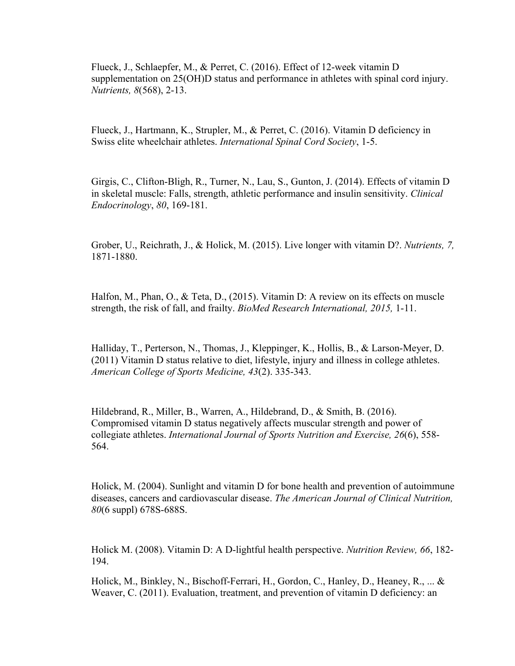Flueck, J., Schlaepfer, M., & Perret, C. (2016). Effect of 12-week vitamin D supplementation on 25(OH)D status and performance in athletes with spinal cord injury. *Nutrients, 8*(568), 2-13.

Flueck, J., Hartmann, K., Strupler, M., & Perret, C. (2016). Vitamin D deficiency in Swiss elite wheelchair athletes. *International Spinal Cord Society*, 1-5.

Girgis, C., Clifton-Bligh, R., Turner, N., Lau, S., Gunton, J. (2014). Effects of vitamin D in skeletal muscle: Falls, strength, athletic performance and insulin sensitivity. *Clinical Endocrinology*, *80*, 169-181.

Grober, U., Reichrath, J., & Holick, M. (2015). Live longer with vitamin D?. *Nutrients, 7,*  1871-1880.

Halfon, M., Phan, O., & Teta, D., (2015). Vitamin D: A review on its effects on muscle strength, the risk of fall, and frailty. *BioMed Research International, 2015,* 1-11.

Halliday, T., Perterson, N., Thomas, J., Kleppinger, K., Hollis, B., & Larson-Meyer, D. (2011) Vitamin D status relative to diet, lifestyle, injury and illness in college athletes. *American College of Sports Medicine, 43*(2). 335-343.

Hildebrand, R., Miller, B., Warren, A., Hildebrand, D., & Smith, B. (2016). Compromised vitamin D status negatively affects muscular strength and power of collegiate athletes. *International Journal of Sports Nutrition and Exercise, 26*(6), 558- 564.

Holick, M. (2004). Sunlight and vitamin D for bone health and prevention of autoimmune diseases, cancers and cardiovascular disease. *The American Journal of Clinical Nutrition, 80*(6 suppl) 678S-688S.

Holick M. (2008). Vitamin D: A D-lightful health perspective. *Nutrition Review, 66*, 182- 194.

Holick, M., Binkley, N., Bischoff-Ferrari, H., Gordon, C., Hanley, D., Heaney, R., ... & Weaver, C. (2011). Evaluation, treatment, and prevention of vitamin D deficiency: an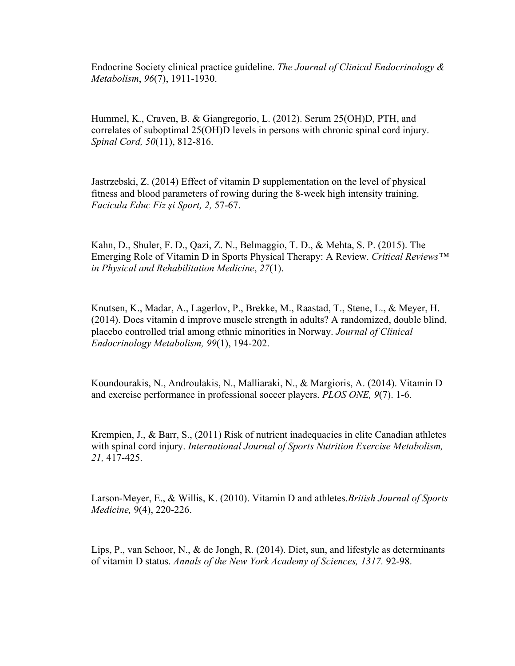Endocrine Society clinical practice guideline. *The Journal of Clinical Endocrinology & Metabolism*, *96*(7), 1911-1930.

Hummel, K., Craven, B. & Giangregorio, L. (2012). Serum 25(OH)D, PTH, and correlates of suboptimal 25(OH)D levels in persons with chronic spinal cord injury. *Spinal Cord, 50*(11), 812-816.

Jastrzebski, Z. (2014) Effect of vitamin D supplementation on the level of physical fitness and blood parameters of rowing during the 8-week high intensity training. *Facicula Educ Fiz şi Sport, 2,* 57-67.

Kahn, D., Shuler, F. D., Qazi, Z. N., Belmaggio, T. D., & Mehta, S. P. (2015). The Emerging Role of Vitamin D in Sports Physical Therapy: A Review. *Critical Reviews™ in Physical and Rehabilitation Medicine*, *27*(1).

Knutsen, K., Madar, A., Lagerlov, P., Brekke, M., Raastad, T., Stene, L., & Meyer, H. (2014). Does vitamin d improve muscle strength in adults? A randomized, double blind, placebo controlled trial among ethnic minorities in Norway. *Journal of Clinical Endocrinology Metabolism, 99*(1), 194-202.

Koundourakis, N., Androulakis, N., Malliaraki, N., & Margioris, A. (2014). Vitamin D and exercise performance in professional soccer players. *PLOS ONE, 9*(7). 1-6.

Krempien, J., & Barr, S., (2011) Risk of nutrient inadequacies in elite Canadian athletes with spinal cord injury. *International Journal of Sports Nutrition Exercise Metabolism, 21,* 417-425.

Larson-Meyer, E., & Willis, K. (2010). Vitamin D and athletes.*British Journal of Sports Medicine,* 9(4), 220-226.

Lips, P., van Schoor, N., & de Jongh, R. (2014). Diet, sun, and lifestyle as determinants of vitamin D status. *Annals of the New York Academy of Sciences, 1317.* 92-98.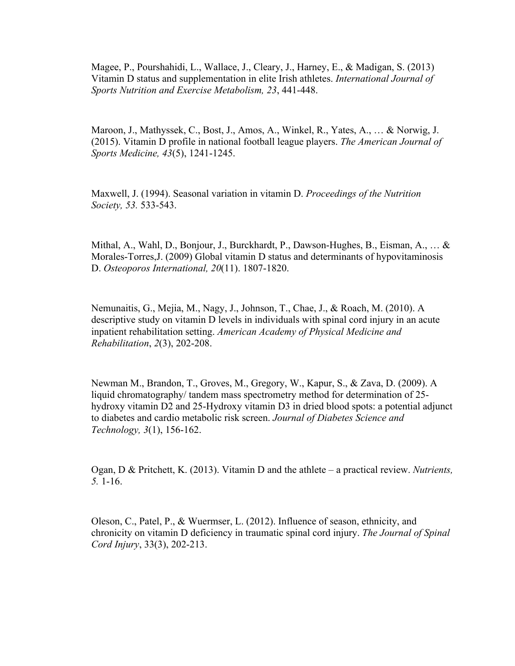Magee, P., Pourshahidi, L., Wallace, J., Cleary, J., Harney, E., & Madigan, S. (2013) Vitamin D status and supplementation in elite Irish athletes. *International Journal of Sports Nutrition and Exercise Metabolism, 23*, 441-448.

Maroon, J., Mathyssek, C., Bost, J., Amos, A., Winkel, R., Yates, A., … & Norwig, J. (2015). Vitamin D profile in national football league players. *The American Journal of Sports Medicine, 43*(5), 1241-1245.

Maxwell, J. (1994). Seasonal variation in vitamin D. *Proceedings of the Nutrition Society, 53.* 533-543.

Mithal, A., Wahl, D., Bonjour, J., Burckhardt, P., Dawson-Hughes, B., Eisman, A., … & Morales-Torres,J. (2009) Global vitamin D status and determinants of hypovitaminosis D. *Osteoporos International, 20*(11). 1807-1820.

Nemunaitis, G., Mejia, M., Nagy, J., Johnson, T., Chae, J., & Roach, M. (2010). A descriptive study on vitamin D levels in individuals with spinal cord injury in an acute inpatient rehabilitation setting. *American Academy of Physical Medicine and Rehabilitation*, *2*(3), 202-208.

Newman M., Brandon, T., Groves, M., Gregory, W., Kapur, S., & Zava, D. (2009). A liquid chromatography/ tandem mass spectrometry method for determination of 25 hydroxy vitamin D2 and 25-Hydroxy vitamin D3 in dried blood spots: a potential adjunct to diabetes and cardio metabolic risk screen. *Journal of Diabetes Science and Technology, 3*(1), 156-162.

Ogan, D & Pritchett, K. (2013). Vitamin D and the athlete – a practical review. *Nutrients, 5.* 1-16.

Oleson, C., Patel, P., & Wuermser, L. (2012). Influence of season, ethnicity, and chronicity on vitamin D deficiency in traumatic spinal cord injury. *The Journal of Spinal Cord Injury*, 33(3), 202-213.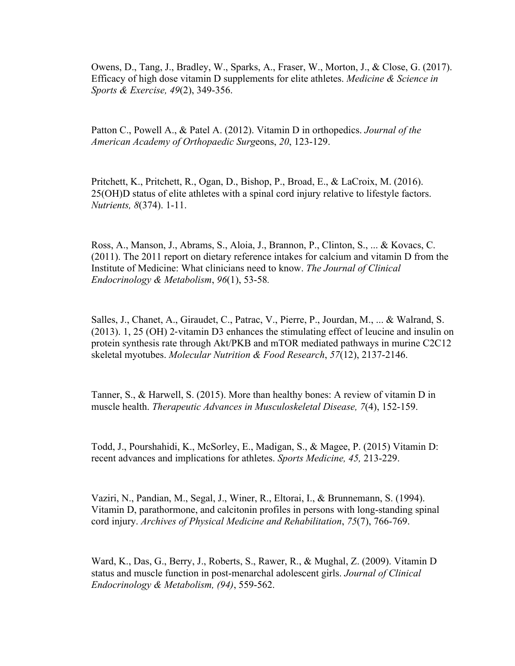Owens, D., Tang, J., Bradley, W., Sparks, A., Fraser, W., Morton, J., & Close, G. (2017). Efficacy of high dose vitamin D supplements for elite athletes. *Medicine & Science in Sports & Exercise, 49*(2), 349-356.

Patton C., Powell A., & Patel A. (2012). Vitamin D in orthopedics. *Journal of the American Academy of Orthopaedic Surg*eons, *20*, 123-129.

Pritchett, K., Pritchett, R., Ogan, D., Bishop, P., Broad, E., & LaCroix, M. (2016). 25(OH)D status of elite athletes with a spinal cord injury relative to lifestyle factors. *Nutrients, 8*(374). 1-11.

Ross, A., Manson, J., Abrams, S., Aloia, J., Brannon, P., Clinton, S., ... & Kovacs, C. (2011). The 2011 report on dietary reference intakes for calcium and vitamin D from the Institute of Medicine: What clinicians need to know. *The Journal of Clinical Endocrinology & Metabolism*, *96*(1), 53-58*.*

Salles, J., Chanet, A., Giraudet, C., Patrac, V., Pierre, P., Jourdan, M., ... & Walrand, S. (2013). 1, 25 (OH) 2-vitamin D3 enhances the stimulating effect of leucine and insulin on protein synthesis rate through Akt/PKB and mTOR mediated pathways in murine C2C12 skeletal myotubes. *Molecular Nutrition & Food Research*, *57*(12), 2137-2146.

Tanner, S., & Harwell, S. (2015). More than healthy bones: A review of vitamin D in muscle health. *Therapeutic Advances in Musculoskeletal Disease, 7*(4), 152-159.

Todd, J., Pourshahidi, K., McSorley, E., Madigan, S., & Magee, P. (2015) Vitamin D: recent advances and implications for athletes. *Sports Medicine, 45,* 213-229.

Vaziri, N., Pandian, M., Segal, J., Winer, R., Eltorai, I., & Brunnemann, S. (1994). Vitamin D, parathormone, and calcitonin profiles in persons with long-standing spinal cord injury. *Archives of Physical Medicine and Rehabilitation*, *75*(7), 766-769.

Ward, K., Das, G., Berry, J., Roberts, S., Rawer, R., & Mughal, Z. (2009). Vitamin D status and muscle function in post-menarchal adolescent girls. *Journal of Clinical Endocrinology & Metabolism, (94)*, 559-562.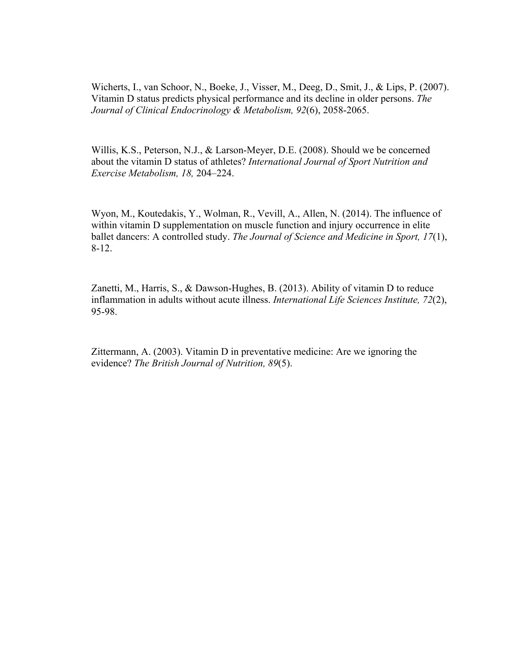Wicherts, I., van Schoor, N., Boeke, J., Visser, M., Deeg, D., Smit, J., & Lips, P. (2007). Vitamin D status predicts physical performance and its decline in older persons. *The Journal of Clinical Endocrinology & Metabolism, 92*(6), 2058-2065.

Willis, K.S., Peterson, N.J., & Larson-Meyer, D.E. (2008). Should we be concerned about the vitamin D status of athletes? *International Journal of Sport Nutrition and Exercise Metabolism, 18,* 204–224.

Wyon, M., Koutedakis, Y., Wolman, R., Vevill, A., Allen, N. (2014). The influence of within vitamin D supplementation on muscle function and injury occurrence in elite ballet dancers: A controlled study. *The Journal of Science and Medicine in Sport, 17*(1), 8-12.

Zanetti, M., Harris, S., & Dawson-Hughes, B. (2013). Ability of vitamin D to reduce inflammation in adults without acute illness. *International Life Sciences Institute, 72*(2), 95-98.

Zittermann, A. (2003). Vitamin D in preventative medicine: Are we ignoring the evidence? *The British Journal of Nutrition, 89*(5).